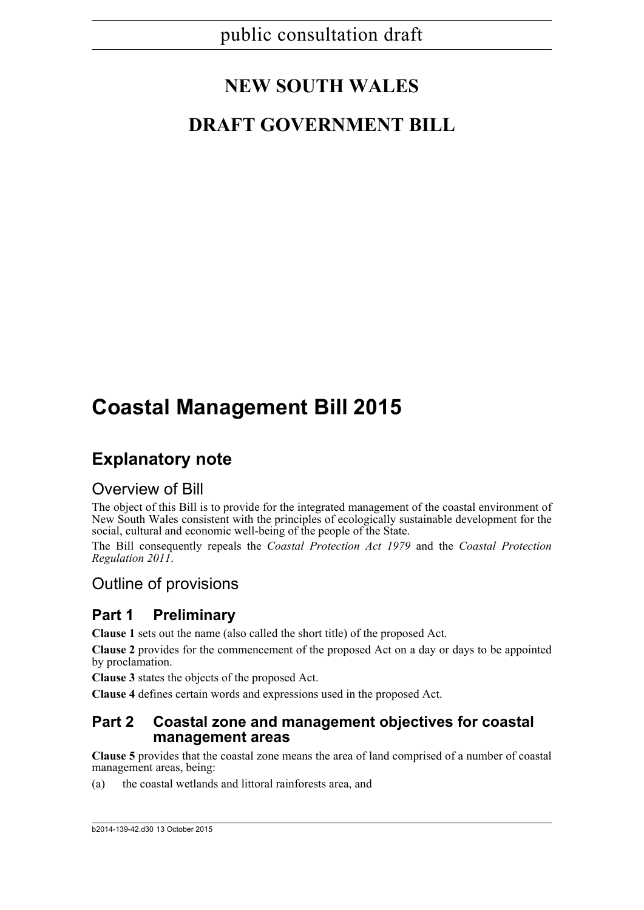# **NEW SOUTH WALES**

# **DRAFT GOVERNMENT BILL**

# **Coastal Management Bill 2015**

# **Explanatory note**

# Overview of Bill

The object of this Bill is to provide for the integrated management of the coastal environment of New South Wales consistent with the principles of ecologically sustainable development for the social, cultural and economic well-being of the people of the State.

The Bill consequently repeals the *Coastal Protection Act 1979* and the *Coastal Protection Regulation 2011*.

# Outline of provisions

# **Part 1 Preliminary**

**Clause 1** sets out the name (also called the short title) of the proposed Act.

**Clause 2** provides for the commencement of the proposed Act on a day or days to be appointed by proclamation.

**Clause 3** states the objects of the proposed Act.

**Clause 4** defines certain words and expressions used in the proposed Act.

## **Part 2 Coastal zone and management objectives for coastal management areas**

**Clause 5** provides that the coastal zone means the area of land comprised of a number of coastal management areas, being:

(a) the coastal wetlands and littoral rainforests area, and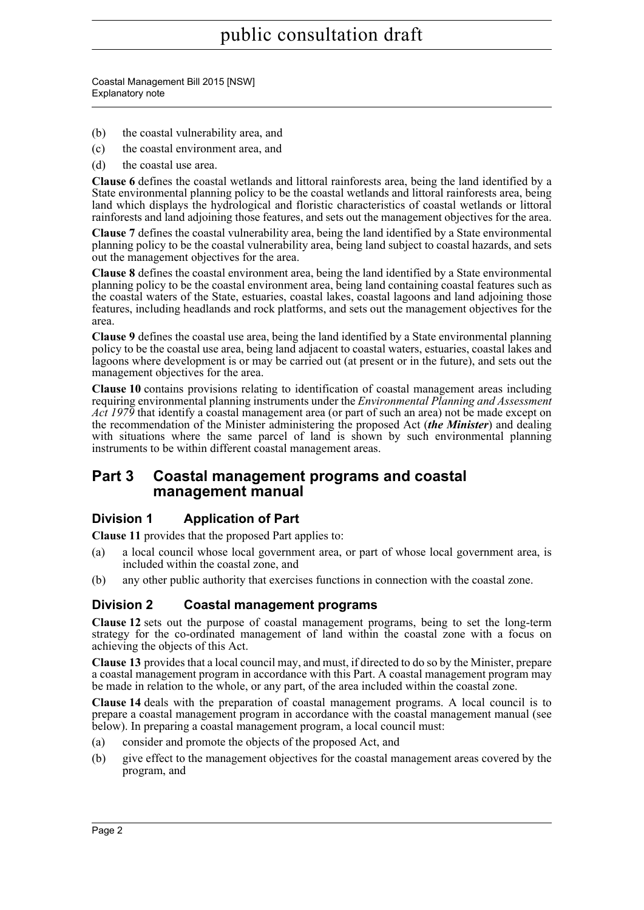Coastal Management Bill 2015 [NSW] Explanatory note

- (b) the coastal vulnerability area, and
- (c) the coastal environment area, and
- (d) the coastal use area.

**Clause 6** defines the coastal wetlands and littoral rainforests area, being the land identified by a State environmental planning policy to be the coastal wetlands and littoral rainforests area, being land which displays the hydrological and floristic characteristics of coastal wetlands or littoral rainforests and land adjoining those features, and sets out the management objectives for the area.

**Clause 7** defines the coastal vulnerability area, being the land identified by a State environmental planning policy to be the coastal vulnerability area, being land subject to coastal hazards, and sets out the management objectives for the area.

**Clause 8** defines the coastal environment area, being the land identified by a State environmental planning policy to be the coastal environment area, being land containing coastal features such as the coastal waters of the State, estuaries, coastal lakes, coastal lagoons and land adjoining those features, including headlands and rock platforms, and sets out the management objectives for the area.

**Clause 9** defines the coastal use area, being the land identified by a State environmental planning policy to be the coastal use area, being land adjacent to coastal waters, estuaries, coastal lakes and lagoons where development is or may be carried out (at present or in the future), and sets out the management objectives for the area.

**Clause 10** contains provisions relating to identification of coastal management areas including requiring environmental planning instruments under the *Environmental Planning and Assessment Act 1979* that identify a coastal management area (or part of such an area) not be made except on the recommendation of the Minister administering the proposed Act (*the Minister*) and dealing with situations where the same parcel of land is shown by such environmental planning instruments to be within different coastal management areas.

## **Part 3 Coastal management programs and coastal management manual**

## **Division 1 Application of Part**

**Clause 11** provides that the proposed Part applies to:

- (a) a local council whose local government area, or part of whose local government area, is included within the coastal zone, and
- (b) any other public authority that exercises functions in connection with the coastal zone.

## **Division 2 Coastal management programs**

**Clause 12** sets out the purpose of coastal management programs, being to set the long-term strategy for the co-ordinated management of land within the coastal zone with a focus on achieving the objects of this Act.

**Clause 13** provides that a local council may, and must, if directed to do so by the Minister, prepare a coastal management program in accordance with this Part. A coastal management program may be made in relation to the whole, or any part, of the area included within the coastal zone.

**Clause 14** deals with the preparation of coastal management programs. A local council is to prepare a coastal management program in accordance with the coastal management manual (see below). In preparing a coastal management program, a local council must:

- (a) consider and promote the objects of the proposed Act, and
- (b) give effect to the management objectives for the coastal management areas covered by the program, and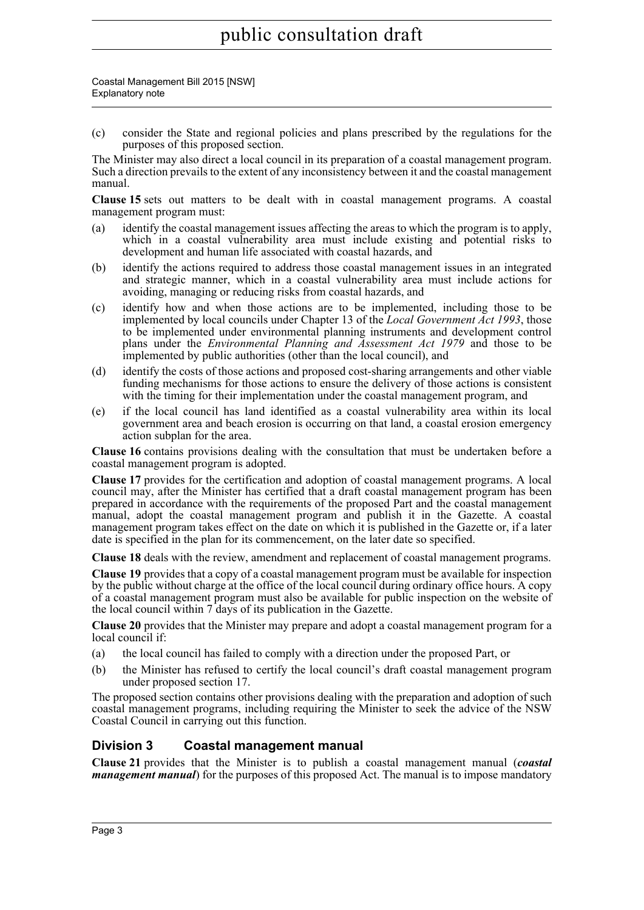Coastal Management Bill 2015 [NSW] Explanatory note

(c) consider the State and regional policies and plans prescribed by the regulations for the purposes of this proposed section.

The Minister may also direct a local council in its preparation of a coastal management program. Such a direction prevails to the extent of any inconsistency between it and the coastal management manual.

**Clause 15** sets out matters to be dealt with in coastal management programs. A coastal management program must:

- (a) identify the coastal management issues affecting the areas to which the program is to apply, which in a coastal vulnerability area must include existing and potential risks to development and human life associated with coastal hazards, and
- (b) identify the actions required to address those coastal management issues in an integrated and strategic manner, which in a coastal vulnerability area must include actions for avoiding, managing or reducing risks from coastal hazards, and
- (c) identify how and when those actions are to be implemented, including those to be implemented by local councils under Chapter 13 of the *Local Government Act 1993*, those to be implemented under environmental planning instruments and development control plans under the *Environmental Planning and Assessment Act 1979* and those to be implemented by public authorities (other than the local council), and
- (d) identify the costs of those actions and proposed cost-sharing arrangements and other viable funding mechanisms for those actions to ensure the delivery of those actions is consistent with the timing for their implementation under the coastal management program, and
- (e) if the local council has land identified as a coastal vulnerability area within its local government area and beach erosion is occurring on that land, a coastal erosion emergency action subplan for the area.

**Clause 16** contains provisions dealing with the consultation that must be undertaken before a coastal management program is adopted.

**Clause 17** provides for the certification and adoption of coastal management programs. A local council may, after the Minister has certified that a draft coastal management program has been prepared in accordance with the requirements of the proposed Part and the coastal management manual, adopt the coastal management program and publish it in the Gazette. A coastal management program takes effect on the date on which it is published in the Gazette or, if a later date is specified in the plan for its commencement, on the later date so specified.

**Clause 18** deals with the review, amendment and replacement of coastal management programs.

**Clause 19** provides that a copy of a coastal management program must be available for inspection by the public without charge at the office of the local council during ordinary office hours. A copy of a coastal management program must also be available for public inspection on the website of the local council within 7 days of its publication in the Gazette.

**Clause 20** provides that the Minister may prepare and adopt a coastal management program for a local council if:

- (a) the local council has failed to comply with a direction under the proposed Part, or
- (b) the Minister has refused to certify the local council's draft coastal management program under proposed section 17.

The proposed section contains other provisions dealing with the preparation and adoption of such coastal management programs, including requiring the Minister to seek the advice of the NSW Coastal Council in carrying out this function.

### **Division 3 Coastal management manual**

**Clause 21** provides that the Minister is to publish a coastal management manual (*coastal management manual*) for the purposes of this proposed Act. The manual is to impose mandatory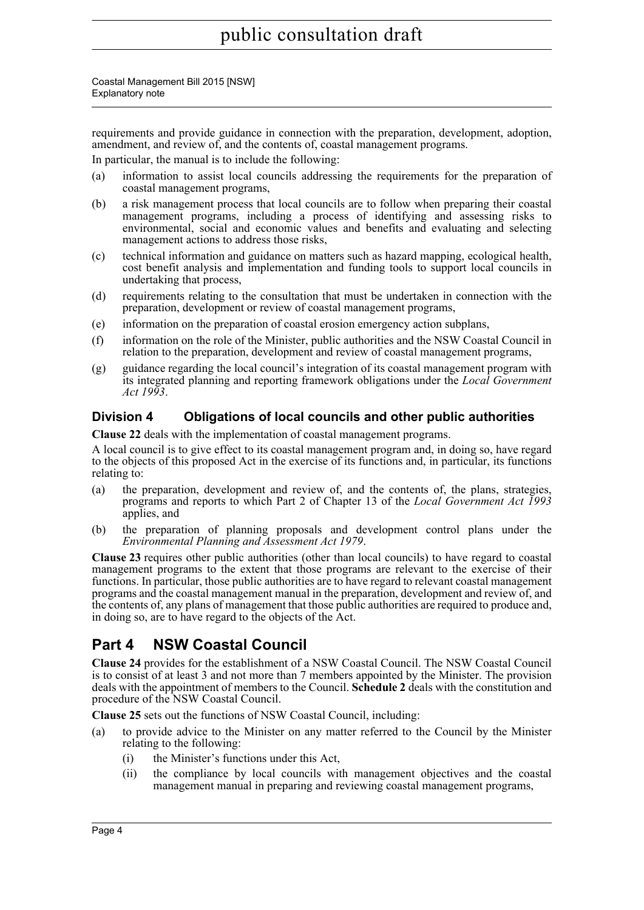Coastal Management Bill 2015 [NSW] Explanatory note

requirements and provide guidance in connection with the preparation, development, adoption, amendment, and review of, and the contents of, coastal management programs.

In particular, the manual is to include the following:

- (a) information to assist local councils addressing the requirements for the preparation of coastal management programs,
- (b) a risk management process that local councils are to follow when preparing their coastal management programs, including a process of identifying and assessing risks to environmental, social and economic values and benefits and evaluating and selecting management actions to address those risks,
- (c) technical information and guidance on matters such as hazard mapping, ecological health, cost benefit analysis and implementation and funding tools to support local councils in undertaking that process,
- (d) requirements relating to the consultation that must be undertaken in connection with the preparation, development or review of coastal management programs,
- (e) information on the preparation of coastal erosion emergency action subplans,
- (f) information on the role of the Minister, public authorities and the NSW Coastal Council in relation to the preparation, development and review of coastal management programs,
- (g) guidance regarding the local council's integration of its coastal management program with its integrated planning and reporting framework obligations under the *Local Government Act 1993*.

## **Division 4 Obligations of local councils and other public authorities**

**Clause 22** deals with the implementation of coastal management programs.

A local council is to give effect to its coastal management program and, in doing so, have regard to the objects of this proposed Act in the exercise of its functions and, in particular, its functions relating to:

- (a) the preparation, development and review of, and the contents of, the plans, strategies, programs and reports to which Part 2 of Chapter 13 of the *Local Government Act 1993* applies, and
- (b) the preparation of planning proposals and development control plans under the *Environmental Planning and Assessment Act 1979*.

**Clause 23** requires other public authorities (other than local councils) to have regard to coastal management programs to the extent that those programs are relevant to the exercise of their functions. In particular, those public authorities are to have regard to relevant coastal management programs and the coastal management manual in the preparation, development and review of, and the contents of, any plans of management that those public authorities are required to produce and, in doing so, are to have regard to the objects of the Act.

# **Part 4 NSW Coastal Council**

**Clause 24** provides for the establishment of a NSW Coastal Council. The NSW Coastal Council is to consist of at least 3 and not more than 7 members appointed by the Minister. The provision deals with the appointment of members to the Council. **Schedule 2** deals with the constitution and procedure of the NSW Coastal Council.

**Clause 25** sets out the functions of NSW Coastal Council, including:

- (a) to provide advice to the Minister on any matter referred to the Council by the Minister relating to the following:
	- (i) the Minister's functions under this Act,
	- (ii) the compliance by local councils with management objectives and the coastal management manual in preparing and reviewing coastal management programs,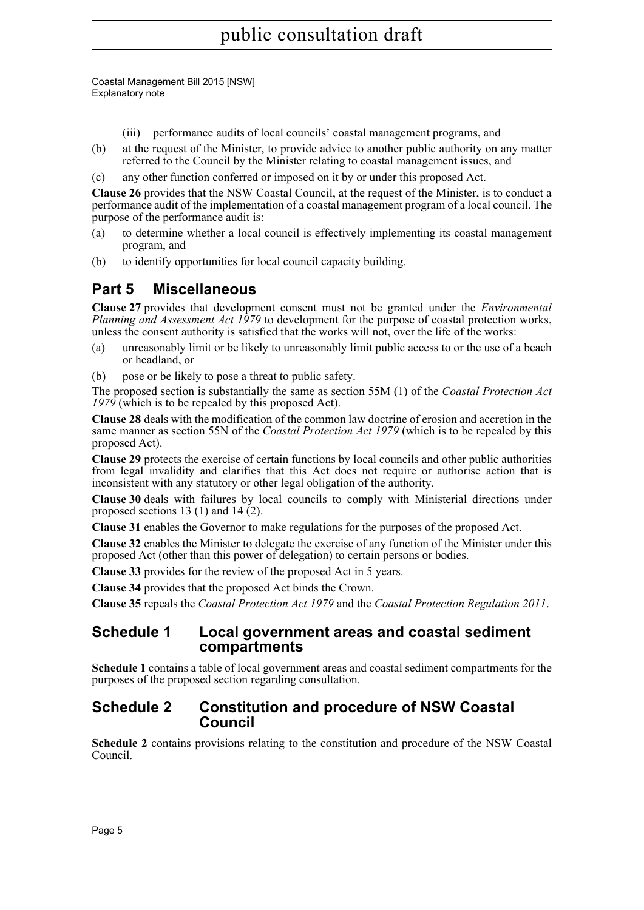Coastal Management Bill 2015 [NSW] Explanatory note

- (iii) performance audits of local councils' coastal management programs, and
- (b) at the request of the Minister, to provide advice to another public authority on any matter referred to the Council by the Minister relating to coastal management issues, and
- (c) any other function conferred or imposed on it by or under this proposed Act.

**Clause 26** provides that the NSW Coastal Council, at the request of the Minister, is to conduct a performance audit of the implementation of a coastal management program of a local council. The purpose of the performance audit is:

- (a) to determine whether a local council is effectively implementing its coastal management program, and
- (b) to identify opportunities for local council capacity building.

# **Part 5 Miscellaneous**

**Clause 27** provides that development consent must not be granted under the *Environmental Planning and Assessment Act 1979* to development for the purpose of coastal protection works, unless the consent authority is satisfied that the works will not, over the life of the works:

- (a) unreasonably limit or be likely to unreasonably limit public access to or the use of a beach or headland, or
- (b) pose or be likely to pose a threat to public safety.

The proposed section is substantially the same as section 55M (1) of the *Coastal Protection Act 1979* (which is to be repealed by this proposed Act).

**Clause 28** deals with the modification of the common law doctrine of erosion and accretion in the same manner as section 55N of the *Coastal Protection Act 1979* (which is to be repealed by this proposed Act).

**Clause 29** protects the exercise of certain functions by local councils and other public authorities from legal invalidity and clarifies that this Act does not require or authorise action that is inconsistent with any statutory or other legal obligation of the authority.

**Clause 30** deals with failures by local councils to comply with Ministerial directions under proposed sections 13 (1) and 14  $(2)$ .

**Clause 31** enables the Governor to make regulations for the purposes of the proposed Act.

**Clause 32** enables the Minister to delegate the exercise of any function of the Minister under this proposed Act (other than this power of delegation) to certain persons or bodies.

**Clause 33** provides for the review of the proposed Act in 5 years.

**Clause 34** provides that the proposed Act binds the Crown.

**Clause 35** repeals the *Coastal Protection Act 1979* and the *Coastal Protection Regulation 2011*.

## **Schedule 1 Local government areas and coastal sediment compartments**

**Schedule 1** contains a table of local government areas and coastal sediment compartments for the purposes of the proposed section regarding consultation.

## **Schedule 2 Constitution and procedure of NSW Coastal Council**

**Schedule 2** contains provisions relating to the constitution and procedure of the NSW Coastal Council.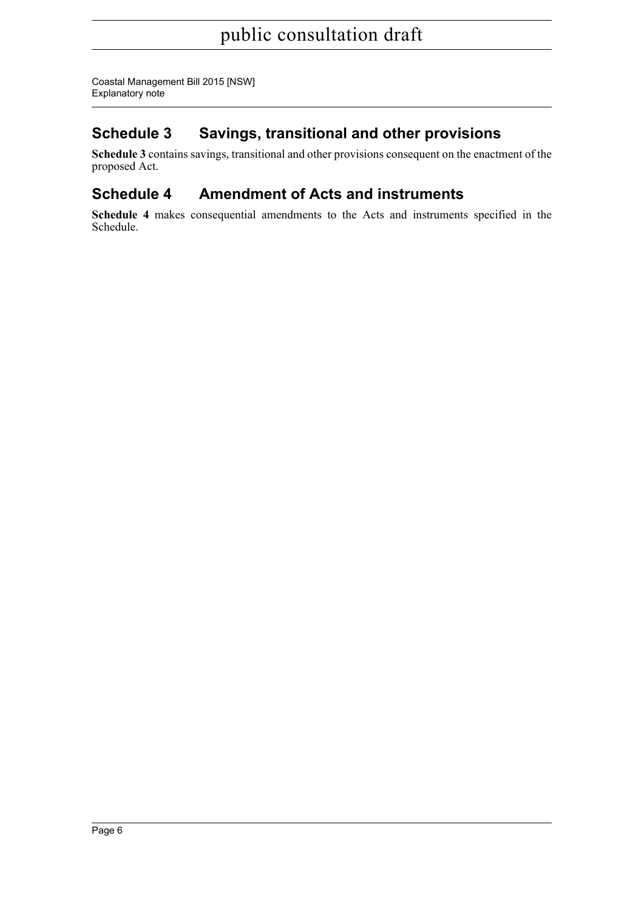Coastal Management Bill 2015 [NSW] Explanatory note

# **Schedule 3 Savings, transitional and other provisions**

**Schedule 3** contains savings, transitional and other provisions consequent on the enactment of the proposed Act.

# **Schedule 4 Amendment of Acts and instruments**

**Schedule 4** makes consequential amendments to the Acts and instruments specified in the Schedule.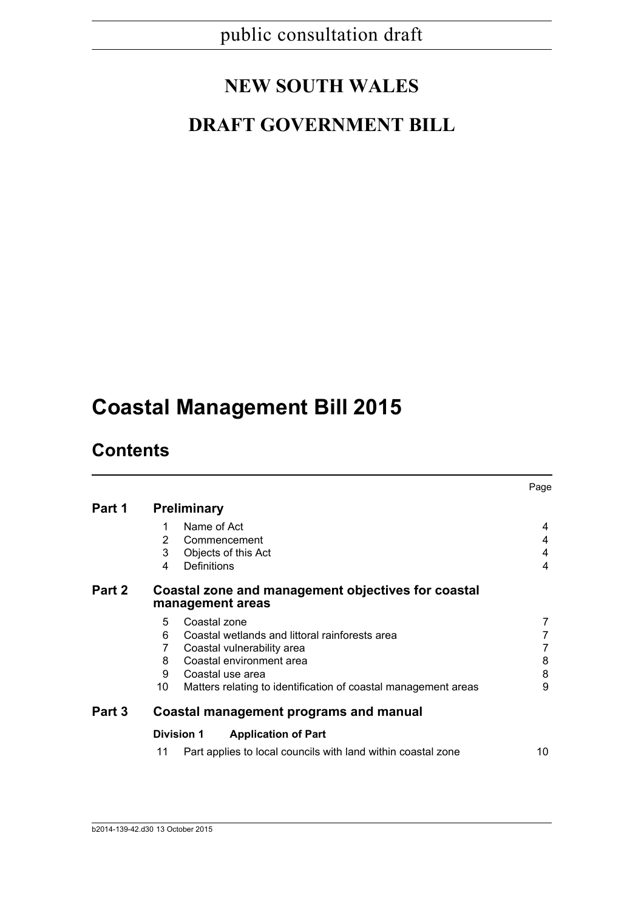# **NEW SOUTH WALES**

# **DRAFT GOVERNMENT BILL**

# **Coastal Management Bill 2015**

# **Contents**

|        |                                                                        | Page |  |  |  |  |
|--------|------------------------------------------------------------------------|------|--|--|--|--|
| Part 1 | <b>Preliminary</b>                                                     |      |  |  |  |  |
|        | Name of Act<br>1                                                       | 4    |  |  |  |  |
|        | 2<br>Commencement                                                      | 4    |  |  |  |  |
|        | 3<br>Objects of this Act                                               | 4    |  |  |  |  |
|        | Definitions<br>4                                                       | 4    |  |  |  |  |
| Part 2 | Coastal zone and management objectives for coastal<br>management areas |      |  |  |  |  |
|        | 5<br>Coastal zone                                                      | 7    |  |  |  |  |
|        | 6<br>Coastal wetlands and littoral rainforests area                    |      |  |  |  |  |
|        | 7<br>Coastal vulnerability area                                        |      |  |  |  |  |
|        | Coastal environment area<br>8                                          | 8    |  |  |  |  |
|        | 9<br>Coastal use area                                                  | 8    |  |  |  |  |
|        | 10<br>Matters relating to identification of coastal management areas   | 9    |  |  |  |  |
| Part 3 | Coastal management programs and manual                                 |      |  |  |  |  |
|        | <b>Division 1</b><br><b>Application of Part</b>                        |      |  |  |  |  |
|        | 11<br>Part applies to local councils with land within coastal zone     | 10   |  |  |  |  |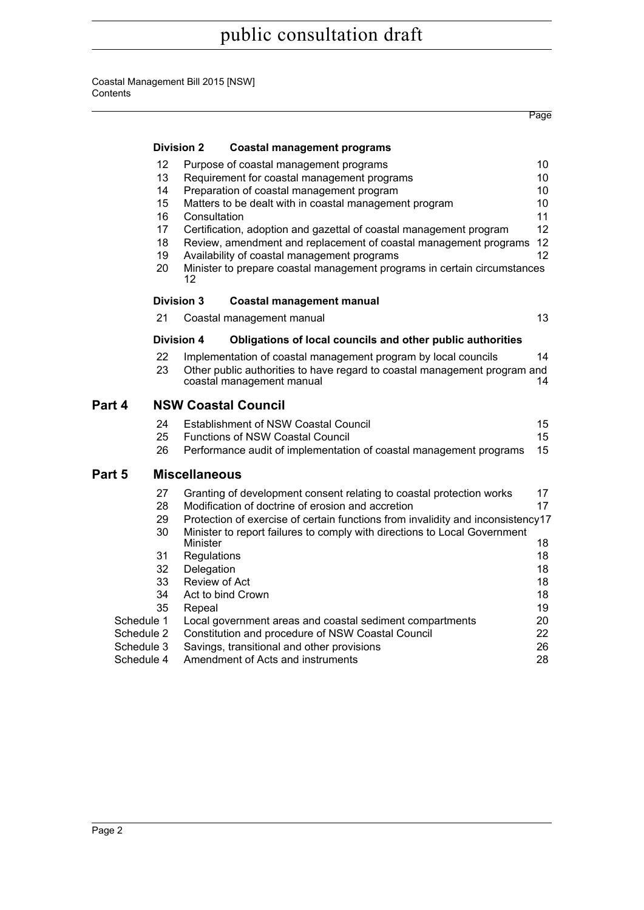#### Coastal Management Bill 2015 [NSW] **Contents**

|            |                   |                      |                                                                                                        | Page |
|------------|-------------------|----------------------|--------------------------------------------------------------------------------------------------------|------|
|            | <b>Division 2</b> |                      | <b>Coastal management programs</b>                                                                     |      |
|            | 12                |                      | Purpose of coastal management programs                                                                 | 10   |
|            | 13                |                      | Requirement for coastal management programs                                                            | 10   |
|            | 14                |                      | Preparation of coastal management program                                                              | 10   |
|            | 15                |                      | Matters to be dealt with in coastal management program                                                 | 10   |
|            | 16                | Consultation         |                                                                                                        | 11   |
|            | 17                |                      | Certification, adoption and gazettal of coastal management program                                     | 12   |
|            | 18                |                      | Review, amendment and replacement of coastal management programs                                       | 12   |
|            | 19                |                      | Availability of coastal management programs                                                            | 12   |
|            | 20                | 12                   | Minister to prepare coastal management programs in certain circumstances                               |      |
|            | <b>Division 3</b> |                      | <b>Coastal management manual</b>                                                                       |      |
|            | 21                |                      | Coastal management manual                                                                              | 13   |
|            | <b>Division 4</b> |                      | Obligations of local councils and other public authorities                                             |      |
|            | 22                |                      | Implementation of coastal management program by local councils                                         | 14   |
|            | 23                |                      | Other public authorities to have regard to coastal management program and<br>coastal management manual | 14   |
| Part 4     |                   |                      | <b>NSW Coastal Council</b>                                                                             |      |
|            | 24                |                      | <b>Establishment of NSW Coastal Council</b>                                                            | 15   |
|            | 25                |                      | <b>Functions of NSW Coastal Council</b>                                                                | 15   |
|            | 26                |                      | Performance audit of implementation of coastal management programs                                     | 15   |
| Part 5     |                   | <b>Miscellaneous</b> |                                                                                                        |      |
|            | 27                |                      | Granting of development consent relating to coastal protection works                                   | 17   |
|            | 28                |                      | Modification of doctrine of erosion and accretion                                                      | 17   |
|            | 29                |                      | Protection of exercise of certain functions from invalidity and inconsistency17                        |      |
|            | 30                |                      | Minister to report failures to comply with directions to Local Government                              |      |
|            |                   | Minister             |                                                                                                        | 18   |
|            | 31                | Regulations          |                                                                                                        | 18   |
|            | 32                | Delegation           |                                                                                                        | 18   |
|            | 33                |                      | Review of Act                                                                                          | 18   |
|            | 34                |                      | Act to bind Crown                                                                                      | 18   |
| 35         |                   | Repeal               |                                                                                                        | 19   |
| Schedule 1 |                   |                      | Local government areas and coastal sediment compartments                                               | 20   |
| Schedule 2 |                   |                      | Constitution and procedure of NSW Coastal Council                                                      | 22   |
| Schedule 3 |                   |                      | Savings, transitional and other provisions                                                             | 26   |
| Schedule 4 |                   |                      | Amendment of Acts and instruments                                                                      | 28   |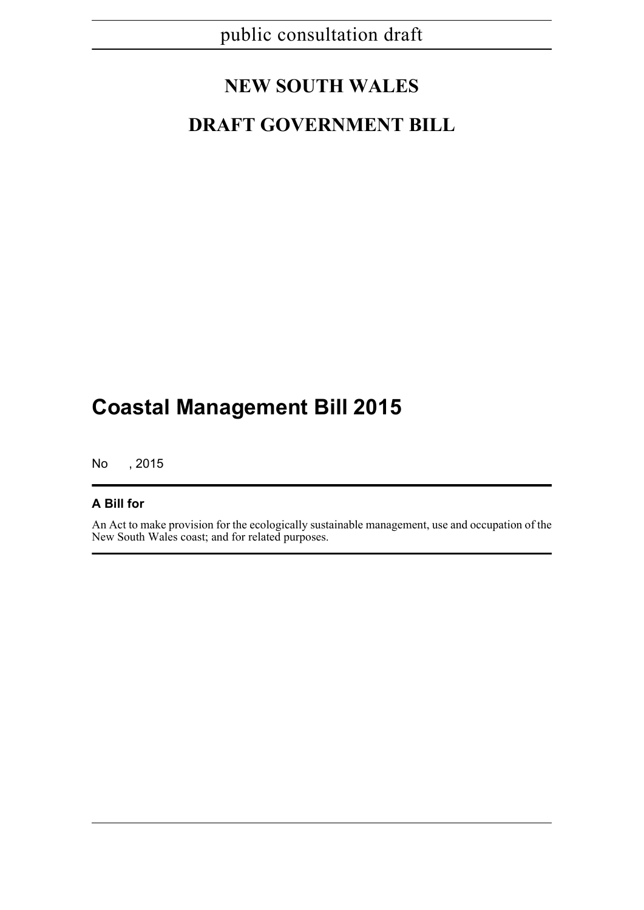# **NEW SOUTH WALES**

# **DRAFT GOVERNMENT BILL**

# **Coastal Management Bill 2015**

No , 2015

## **A Bill for**

An Act to make provision for the ecologically sustainable management, use and occupation of the New South Wales coast; and for related purposes.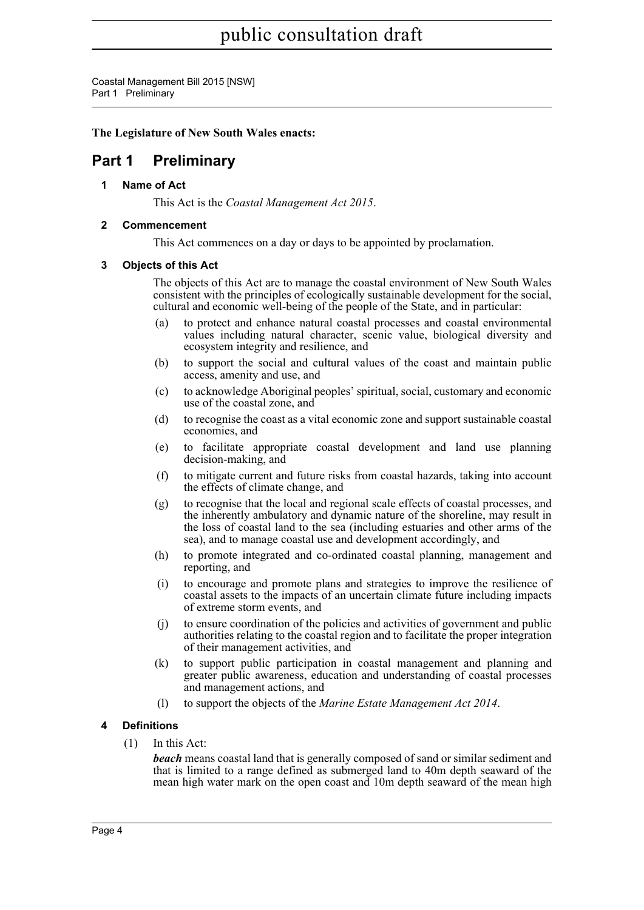Coastal Management Bill 2015 [NSW] Part 1 Preliminary

### **The Legislature of New South Wales enacts:**

# <span id="page-9-1"></span><span id="page-9-0"></span>**Part 1 Preliminary**

**1 Name of Act**

This Act is the *Coastal Management Act 2015*.

### <span id="page-9-2"></span>**2 Commencement**

This Act commences on a day or days to be appointed by proclamation.

### <span id="page-9-3"></span>**3 Objects of this Act**

The objects of this Act are to manage the coastal environment of New South Wales consistent with the principles of ecologically sustainable development for the social, cultural and economic well-being of the people of the State, and in particular:

- (a) to protect and enhance natural coastal processes and coastal environmental values including natural character, scenic value, biological diversity and ecosystem integrity and resilience, and
- (b) to support the social and cultural values of the coast and maintain public access, amenity and use, and
- (c) to acknowledge Aboriginal peoples' spiritual, social, customary and economic use of the coastal zone, and
- (d) to recognise the coast as a vital economic zone and support sustainable coastal economies, and
- (e) to facilitate appropriate coastal development and land use planning decision-making, and
- (f) to mitigate current and future risks from coastal hazards, taking into account the effects of climate change, and
- (g) to recognise that the local and regional scale effects of coastal processes, and the inherently ambulatory and dynamic nature of the shoreline, may result in the loss of coastal land to the sea (including estuaries and other arms of the sea), and to manage coastal use and development accordingly, and
- (h) to promote integrated and co-ordinated coastal planning, management and reporting, and
- (i) to encourage and promote plans and strategies to improve the resilience of coastal assets to the impacts of an uncertain climate future including impacts of extreme storm events, and
- (j) to ensure coordination of the policies and activities of government and public authorities relating to the coastal region and to facilitate the proper integration of their management activities, and
- (k) to support public participation in coastal management and planning and greater public awareness, education and understanding of coastal processes and management actions, and
- (l) to support the objects of the *Marine Estate Management Act 2014*.

### <span id="page-9-4"></span>**4 Definitions**

(1) In this Act:

*beach* means coastal land that is generally composed of sand or similar sediment and that is limited to a range defined as submerged land to 40m depth seaward of the mean high water mark on the open coast and 10m depth seaward of the mean high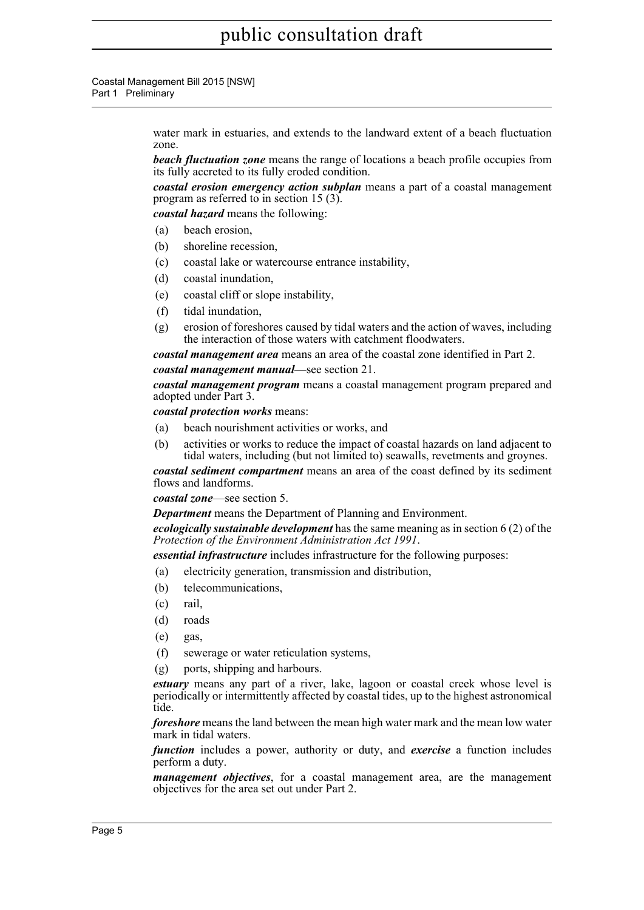#### Coastal Management Bill 2015 [NSW] Part 1 Preliminary

water mark in estuaries, and extends to the landward extent of a beach fluctuation zone.

*beach fluctuation zone* means the range of locations a beach profile occupies from its fully accreted to its fully eroded condition.

*coastal erosion emergency action subplan* means a part of a coastal management program as referred to in section 15 (3).

*coastal hazard* means the following:

- (a) beach erosion,
- (b) shoreline recession,
- (c) coastal lake or watercourse entrance instability,
- (d) coastal inundation,
- (e) coastal cliff or slope instability,
- (f) tidal inundation,
- (g) erosion of foreshores caused by tidal waters and the action of waves, including the interaction of those waters with catchment floodwaters.

*coastal management area* means an area of the coastal zone identified in Part 2. *coastal management manual*—see section 21.

*coastal management program* means a coastal management program prepared and adopted under Part 3.

*coastal protection works* means:

- (a) beach nourishment activities or works, and
- (b) activities or works to reduce the impact of coastal hazards on land adjacent to tidal waters, including (but not limited to) seawalls, revetments and groynes.

*coastal sediment compartment* means an area of the coast defined by its sediment flows and landforms.

*coastal zone*—see section 5.

*Department* means the Department of Planning and Environment.

*ecologically sustainable development* has the same meaning as in section 6 (2) of the *Protection of the Environment Administration Act 1991*.

*essential infrastructure* includes infrastructure for the following purposes:

- (a) electricity generation, transmission and distribution,
- (b) telecommunications,
- (c) rail,
- (d) roads
- (e) gas,
- (f) sewerage or water reticulation systems,
- (g) ports, shipping and harbours.

*estuary* means any part of a river, lake, lagoon or coastal creek whose level is periodically or intermittently affected by coastal tides, up to the highest astronomical tide.

*foreshore* means the land between the mean high water mark and the mean low water mark in tidal waters.

*function* includes a power, authority or duty, and *exercise* a function includes perform a duty.

*management objectives*, for a coastal management area, are the management objectives for the area set out under Part 2.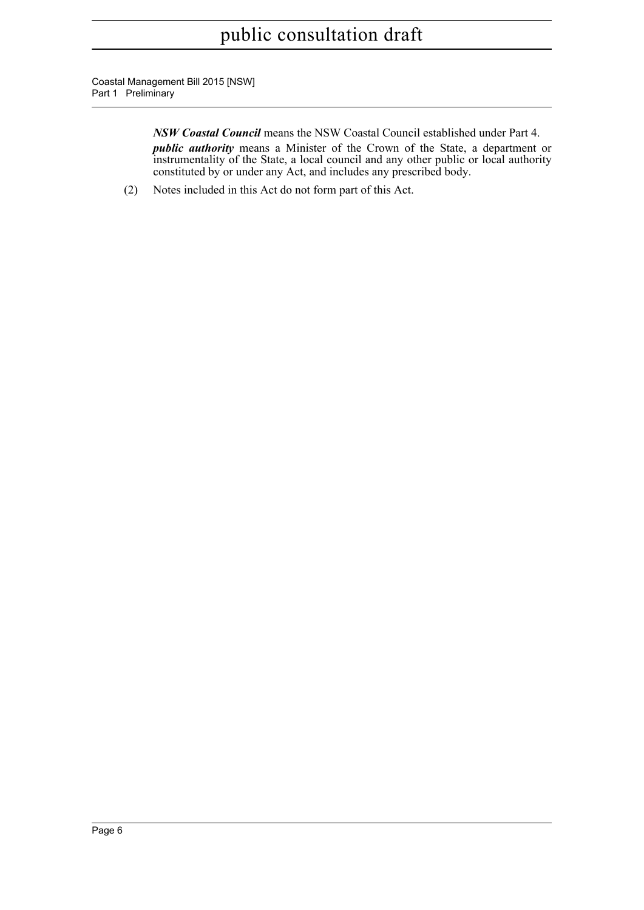Coastal Management Bill 2015 [NSW] Part 1 Preliminary

> *NSW Coastal Council* means the NSW Coastal Council established under Part 4. *public authority* means a Minister of the Crown of the State, a department or instrumentality of the State, a local council and any other public or local authority constituted by or under any Act, and includes any prescribed body.

(2) Notes included in this Act do not form part of this Act.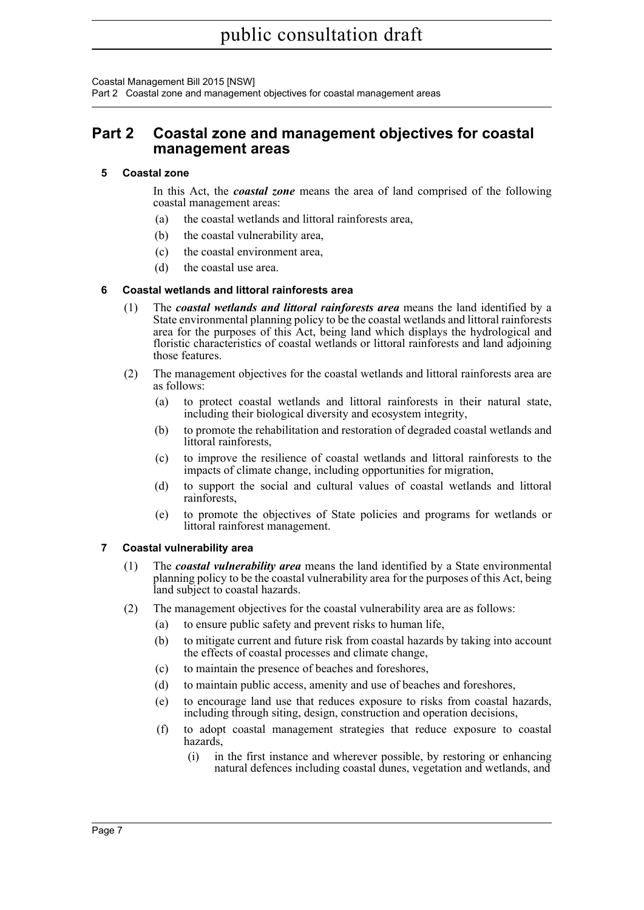Coastal Management Bill 2015 [NSW]

Part 2 Coastal zone and management objectives for coastal management areas

## <span id="page-12-0"></span>**Part 2 Coastal zone and management objectives for coastal management areas**

#### <span id="page-12-1"></span>**5 Coastal zone**

In this Act, the *coastal zone* means the area of land comprised of the following coastal management areas:

- (a) the coastal wetlands and littoral rainforests area,
- (b) the coastal vulnerability area,
- (c) the coastal environment area,
- (d) the coastal use area.

#### <span id="page-12-2"></span>**6 Coastal wetlands and littoral rainforests area**

- (1) The *coastal wetlands and littoral rainforests area* means the land identified by a State environmental planning policy to be the coastal wetlands and littoral rainforests area for the purposes of this Act, being land which displays the hydrological and floristic characteristics of coastal wetlands or littoral rainforests and land adjoining those features.
- (2) The management objectives for the coastal wetlands and littoral rainforests area are as follows:
	- (a) to protect coastal wetlands and littoral rainforests in their natural state, including their biological diversity and ecosystem integrity,
	- (b) to promote the rehabilitation and restoration of degraded coastal wetlands and littoral rainforests,
	- (c) to improve the resilience of coastal wetlands and littoral rainforests to the impacts of climate change, including opportunities for migration,
	- (d) to support the social and cultural values of coastal wetlands and littoral rainforests,
	- (e) to promote the objectives of State policies and programs for wetlands or littoral rainforest management.

### <span id="page-12-3"></span>**7 Coastal vulnerability area**

- (1) The *coastal vulnerability area* means the land identified by a State environmental planning policy to be the coastal vulnerability area for the purposes of this Act, being land subject to coastal hazards.
- (2) The management objectives for the coastal vulnerability area are as follows:
	- (a) to ensure public safety and prevent risks to human life,
	- (b) to mitigate current and future risk from coastal hazards by taking into account the effects of coastal processes and climate change,
	- (c) to maintain the presence of beaches and foreshores,
	- (d) to maintain public access, amenity and use of beaches and foreshores,
	- (e) to encourage land use that reduces exposure to risks from coastal hazards, including through siting, design, construction and operation decisions,
	- (f) to adopt coastal management strategies that reduce exposure to coastal hazards,
		- (i) in the first instance and wherever possible, by restoring or enhancing natural defences including coastal dunes, vegetation and wetlands, and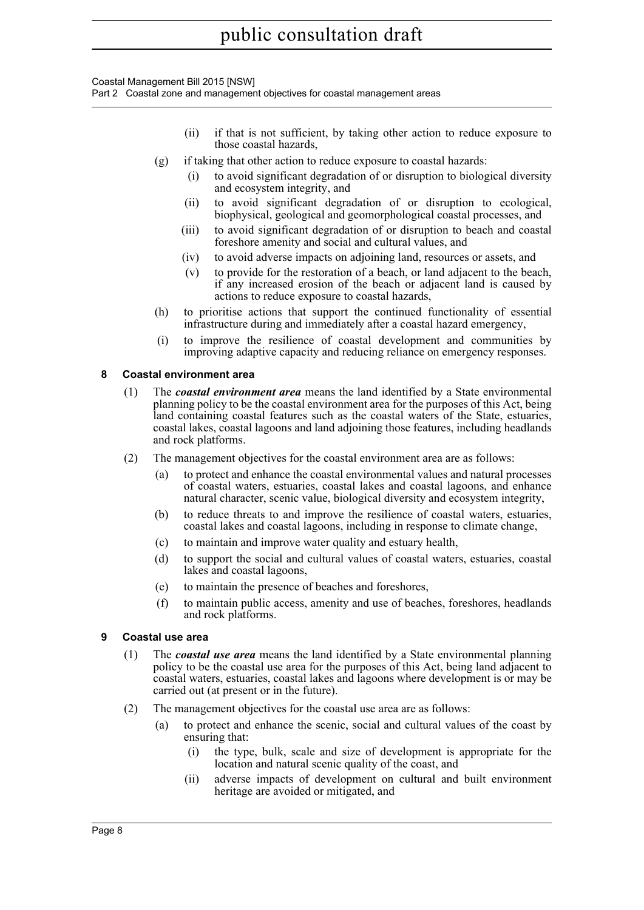Coastal Management Bill 2015 [NSW]

Part 2 Coastal zone and management objectives for coastal management areas

- (ii) if that is not sufficient, by taking other action to reduce exposure to those coastal hazards,
- (g) if taking that other action to reduce exposure to coastal hazards:
	- (i) to avoid significant degradation of or disruption to biological diversity and ecosystem integrity, and
	- (ii) to avoid significant degradation of or disruption to ecological, biophysical, geological and geomorphological coastal processes, and
	- (iii) to avoid significant degradation of or disruption to beach and coastal foreshore amenity and social and cultural values, and
	- (iv) to avoid adverse impacts on adjoining land, resources or assets, and
	- (v) to provide for the restoration of a beach, or land adjacent to the beach, if any increased erosion of the beach or adjacent land is caused by actions to reduce exposure to coastal hazards,
- (h) to prioritise actions that support the continued functionality of essential infrastructure during and immediately after a coastal hazard emergency,
- (i) to improve the resilience of coastal development and communities by improving adaptive capacity and reducing reliance on emergency responses.

#### <span id="page-13-0"></span>**8 Coastal environment area**

- (1) The *coastal environment area* means the land identified by a State environmental planning policy to be the coastal environment area for the purposes of this Act, being land containing coastal features such as the coastal waters of the State, estuaries, coastal lakes, coastal lagoons and land adjoining those features, including headlands and rock platforms.
- (2) The management objectives for the coastal environment area are as follows:
	- (a) to protect and enhance the coastal environmental values and natural processes of coastal waters, estuaries, coastal lakes and coastal lagoons, and enhance natural character, scenic value, biological diversity and ecosystem integrity,
	- (b) to reduce threats to and improve the resilience of coastal waters, estuaries, coastal lakes and coastal lagoons, including in response to climate change,
	- (c) to maintain and improve water quality and estuary health,
	- (d) to support the social and cultural values of coastal waters, estuaries, coastal lakes and coastal lagoons,
	- (e) to maintain the presence of beaches and foreshores,
	- (f) to maintain public access, amenity and use of beaches, foreshores, headlands and rock platforms.

### <span id="page-13-1"></span>**9 Coastal use area**

- (1) The *coastal use area* means the land identified by a State environmental planning policy to be the coastal use area for the purposes of this Act, being land adjacent to coastal waters, estuaries, coastal lakes and lagoons where development is or may be carried out (at present or in the future).
- (2) The management objectives for the coastal use area are as follows:
	- (a) to protect and enhance the scenic, social and cultural values of the coast by ensuring that:
		- (i) the type, bulk, scale and size of development is appropriate for the location and natural scenic quality of the coast, and
		- (ii) adverse impacts of development on cultural and built environment heritage are avoided or mitigated, and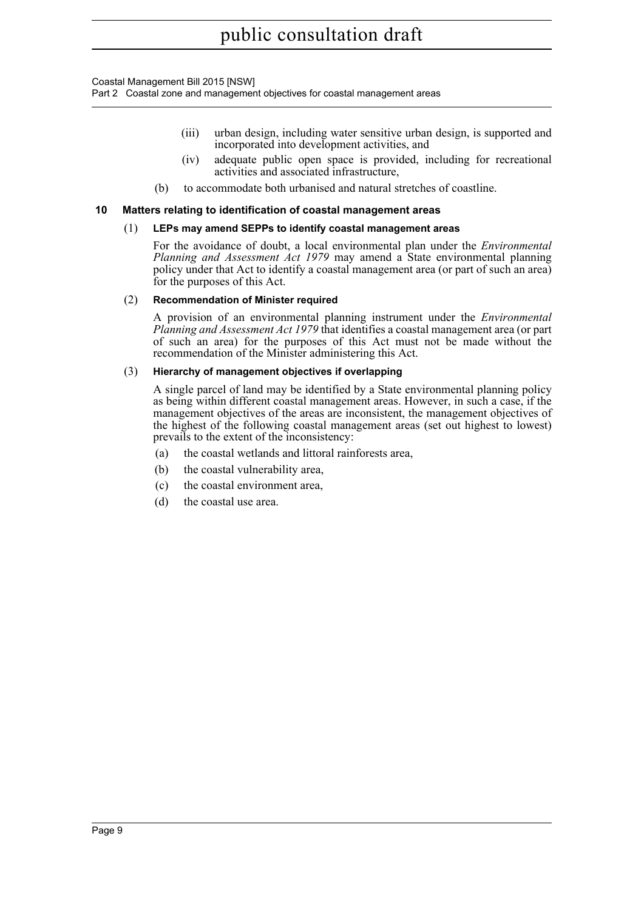Coastal Management Bill 2015 [NSW]

Part 2 Coastal zone and management objectives for coastal management areas

- (iii) urban design, including water sensitive urban design, is supported and incorporated into development activities, and
- (iv) adequate public open space is provided, including for recreational activities and associated infrastructure,
- (b) to accommodate both urbanised and natural stretches of coastline.

#### <span id="page-14-0"></span>**10 Matters relating to identification of coastal management areas**

#### (1) **LEPs may amend SEPPs to identify coastal management areas**

For the avoidance of doubt, a local environmental plan under the *Environmental Planning and Assessment Act 1979* may amend a State environmental planning policy under that Act to identify a coastal management area (or part of such an area) for the purposes of this Act.

#### (2) **Recommendation of Minister required**

A provision of an environmental planning instrument under the *Environmental Planning and Assessment Act 1979* that identifies a coastal management area (or part of such an area) for the purposes of this Act must not be made without the recommendation of the Minister administering this Act.

#### (3) **Hierarchy of management objectives if overlapping**

A single parcel of land may be identified by a State environmental planning policy as being within different coastal management areas. However, in such a case, if the management objectives of the areas are inconsistent, the management objectives of the highest of the following coastal management areas (set out highest to lowest) prevails to the extent of the inconsistency:

- (a) the coastal wetlands and littoral rainforests area,
- (b) the coastal vulnerability area,
- (c) the coastal environment area,
- (d) the coastal use area.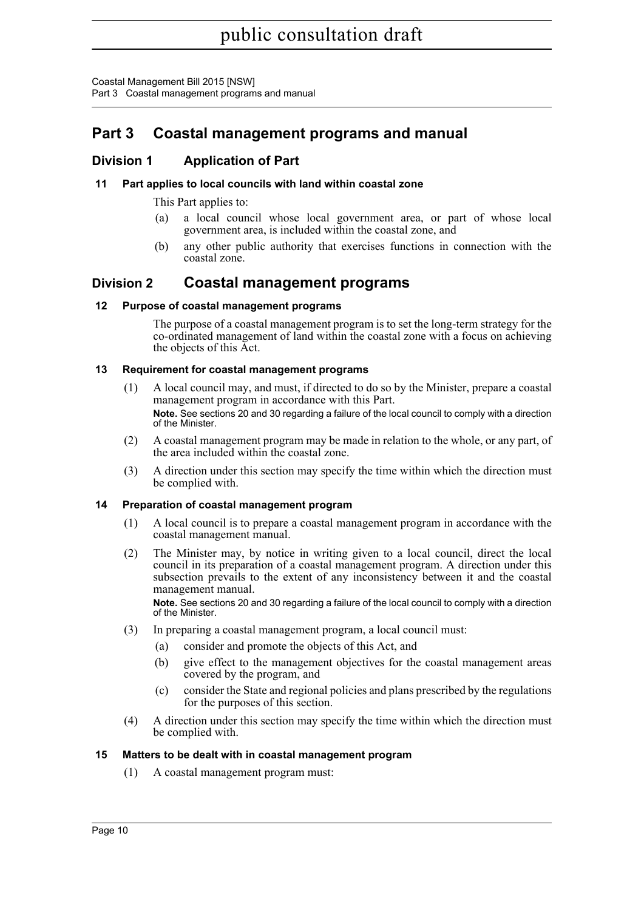Coastal Management Bill 2015 [NSW] Part 3 Coastal management programs and manual

# <span id="page-15-0"></span>**Part 3 Coastal management programs and manual**

## <span id="page-15-1"></span>**Division 1 Application of Part**

## <span id="page-15-2"></span>**11 Part applies to local councils with land within coastal zone**

This Part applies to:

- (a) a local council whose local government area, or part of whose local government area, is included within the coastal zone, and
- (b) any other public authority that exercises functions in connection with the coastal zone.

## <span id="page-15-3"></span>**Division 2 Coastal management programs**

### <span id="page-15-4"></span>**12 Purpose of coastal management programs**

The purpose of a coastal management program is to set the long-term strategy for the co-ordinated management of land within the coastal zone with a focus on achieving the objects of this Act.

### <span id="page-15-5"></span>**13 Requirement for coastal management programs**

- (1) A local council may, and must, if directed to do so by the Minister, prepare a coastal management program in accordance with this Part. **Note.** See sections 20 and 30 regarding a failure of the local council to comply with a direction of the Minister.
- (2) A coastal management program may be made in relation to the whole, or any part, of the area included within the coastal zone.
- (3) A direction under this section may specify the time within which the direction must be complied with.

### <span id="page-15-6"></span>**14 Preparation of coastal management program**

- (1) A local council is to prepare a coastal management program in accordance with the coastal management manual.
- (2) The Minister may, by notice in writing given to a local council, direct the local council in its preparation of a coastal management program. A direction under this subsection prevails to the extent of any inconsistency between it and the coastal management manual.

**Note.** See sections 20 and 30 regarding a failure of the local council to comply with a direction of the Minister.

- (3) In preparing a coastal management program, a local council must:
	- (a) consider and promote the objects of this Act, and
	- (b) give effect to the management objectives for the coastal management areas covered by the program, and
	- (c) consider the State and regional policies and plans prescribed by the regulations for the purposes of this section.
- (4) A direction under this section may specify the time within which the direction must be complied with.

### <span id="page-15-7"></span>**15 Matters to be dealt with in coastal management program**

(1) A coastal management program must: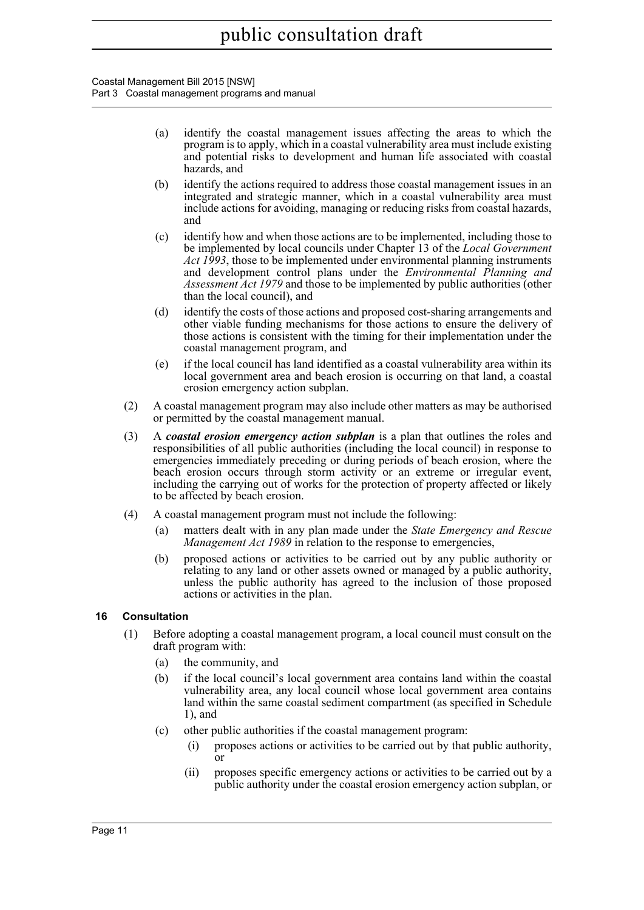Coastal Management Bill 2015 [NSW] Part 3 Coastal management programs and manual

- (a) identify the coastal management issues affecting the areas to which the program is to apply, which in a coastal vulnerability area must include existing and potential risks to development and human life associated with coastal hazards, and
- (b) identify the actions required to address those coastal management issues in an integrated and strategic manner, which in a coastal vulnerability area must include actions for avoiding, managing or reducing risks from coastal hazards, and
- (c) identify how and when those actions are to be implemented, including those to be implemented by local councils under Chapter 13 of the *Local Government Act 1993*, those to be implemented under environmental planning instruments and development control plans under the *Environmental Planning and Assessment Act 1979* and those to be implemented by public authorities (other than the local council), and
- (d) identify the costs of those actions and proposed cost-sharing arrangements and other viable funding mechanisms for those actions to ensure the delivery of those actions is consistent with the timing for their implementation under the coastal management program, and
- (e) if the local council has land identified as a coastal vulnerability area within its local government area and beach erosion is occurring on that land, a coastal erosion emergency action subplan.
- (2) A coastal management program may also include other matters as may be authorised or permitted by the coastal management manual.
- (3) A *coastal erosion emergency action subplan* is a plan that outlines the roles and responsibilities of all public authorities (including the local council) in response to emergencies immediately preceding or during periods of beach erosion, where the beach erosion occurs through storm activity or an extreme or irregular event, including the carrying out of works for the protection of property affected or likely to be affected by beach erosion.
- (4) A coastal management program must not include the following:
	- (a) matters dealt with in any plan made under the *State Emergency and Rescue Management Act 1989* in relation to the response to emergencies,
	- (b) proposed actions or activities to be carried out by any public authority or relating to any land or other assets owned or managed by a public authority, unless the public authority has agreed to the inclusion of those proposed actions or activities in the plan.

### <span id="page-16-0"></span>**16 Consultation**

- (1) Before adopting a coastal management program, a local council must consult on the draft program with:
	- (a) the community, and
	- (b) if the local council's local government area contains land within the coastal vulnerability area, any local council whose local government area contains land within the same coastal sediment compartment (as specified in Schedule 1), and
	- (c) other public authorities if the coastal management program:
		- (i) proposes actions or activities to be carried out by that public authority, or
		- (ii) proposes specific emergency actions or activities to be carried out by a public authority under the coastal erosion emergency action subplan, or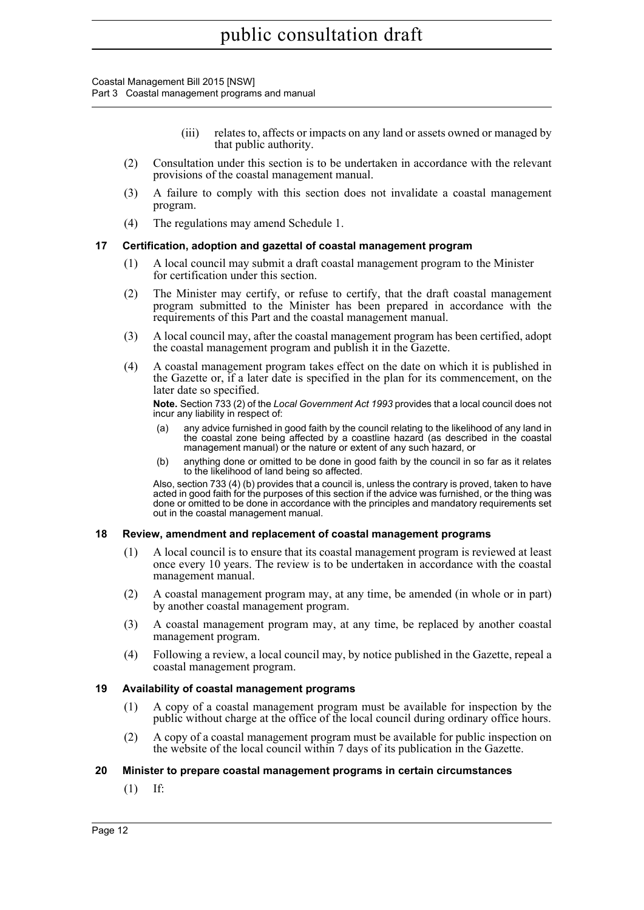Coastal Management Bill 2015 [NSW] Part 3 Coastal management programs and manual

- (iii) relates to, affects or impacts on any land or assets owned or managed by that public authority.
- (2) Consultation under this section is to be undertaken in accordance with the relevant provisions of the coastal management manual.
- (3) A failure to comply with this section does not invalidate a coastal management program.
- (4) The regulations may amend Schedule 1.

#### <span id="page-17-0"></span>**17 Certification, adoption and gazettal of coastal management program**

- (1) A local council may submit a draft coastal management program to the Minister for certification under this section.
- (2) The Minister may certify, or refuse to certify, that the draft coastal management program submitted to the Minister has been prepared in accordance with the requirements of this Part and the coastal management manual.
- (3) A local council may, after the coastal management program has been certified, adopt the coastal management program and publish it in the Gazette.
- (4) A coastal management program takes effect on the date on which it is published in the Gazette or, if a later date is specified in the plan for its commencement, on the later date so specified.

**Note.** Section 733 (2) of the *Local Government Act 1993* provides that a local council does not incur any liability in respect of:

- (a) any advice furnished in good faith by the council relating to the likelihood of any land in the coastal zone being affected by a coastline hazard (as described in the coastal management manual) or the nature or extent of any such hazard, or
- (b) anything done or omitted to be done in good faith by the council in so far as it relates to the likelihood of land being so affected.

Also, section 733 (4) (b) provides that a council is, unless the contrary is proved, taken to have acted in good faith for the purposes of this section if the advice was furnished, or the thing was done or omitted to be done in accordance with the principles and mandatory requirements set out in the coastal management manual.

#### <span id="page-17-1"></span>**18 Review, amendment and replacement of coastal management programs**

- (1) A local council is to ensure that its coastal management program is reviewed at least once every 10 years. The review is to be undertaken in accordance with the coastal management manual.
- (2) A coastal management program may, at any time, be amended (in whole or in part) by another coastal management program.
- (3) A coastal management program may, at any time, be replaced by another coastal management program.
- (4) Following a review, a local council may, by notice published in the Gazette, repeal a coastal management program.

### <span id="page-17-2"></span>**19 Availability of coastal management programs**

- (1) A copy of a coastal management program must be available for inspection by the public without charge at the office of the local council during ordinary office hours.
- (2) A copy of a coastal management program must be available for public inspection on the website of the local council within 7 days of its publication in the Gazette.

### <span id="page-17-3"></span>**20 Minister to prepare coastal management programs in certain circumstances**

(1) If: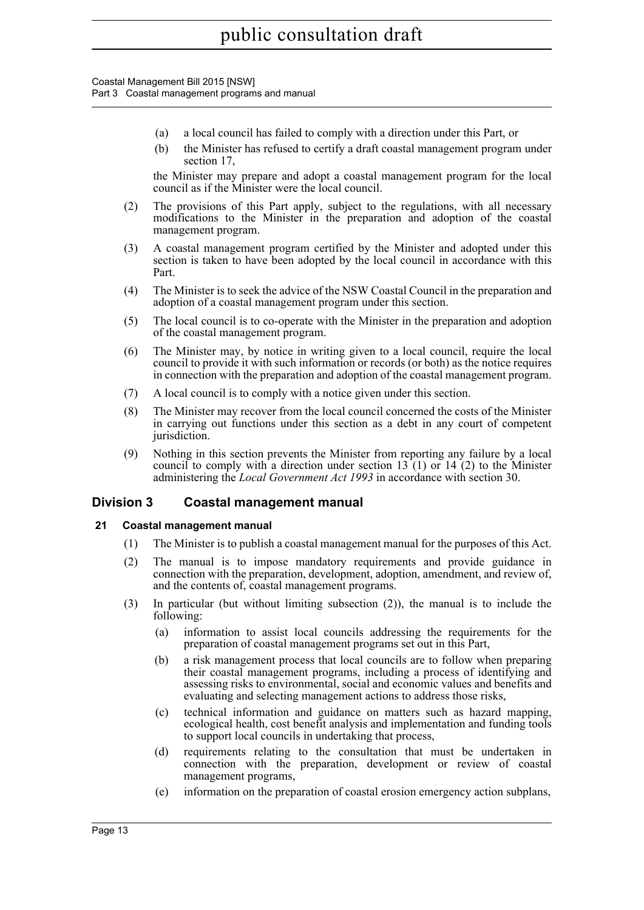Coastal Management Bill 2015 [NSW] Part 3 Coastal management programs and manual

- (a) a local council has failed to comply with a direction under this Part, or
- (b) the Minister has refused to certify a draft coastal management program under section 17,

the Minister may prepare and adopt a coastal management program for the local council as if the Minister were the local council.

- (2) The provisions of this Part apply, subject to the regulations, with all necessary modifications to the Minister in the preparation and adoption of the coastal management program.
- (3) A coastal management program certified by the Minister and adopted under this section is taken to have been adopted by the local council in accordance with this Part.
- (4) The Minister is to seek the advice of the NSW Coastal Council in the preparation and adoption of a coastal management program under this section.
- (5) The local council is to co-operate with the Minister in the preparation and adoption of the coastal management program.
- (6) The Minister may, by notice in writing given to a local council, require the local council to provide it with such information or records (or both) as the notice requires in connection with the preparation and adoption of the coastal management program.
- (7) A local council is to comply with a notice given under this section.
- (8) The Minister may recover from the local council concerned the costs of the Minister in carrying out functions under this section as a debt in any court of competent jurisdiction.
- (9) Nothing in this section prevents the Minister from reporting any failure by a local council to comply with a direction under section  $13(1)$  or  $14(2)$  to the Minister administering the *Local Government Act 1993* in accordance with section 30.

### <span id="page-18-0"></span>**Division 3 Coastal management manual**

### <span id="page-18-1"></span>**21 Coastal management manual**

- (1) The Minister is to publish a coastal management manual for the purposes of this Act.
- (2) The manual is to impose mandatory requirements and provide guidance in connection with the preparation, development, adoption, amendment, and review of, and the contents of, coastal management programs.
- (3) In particular (but without limiting subsection (2)), the manual is to include the following:
	- (a) information to assist local councils addressing the requirements for the preparation of coastal management programs set out in this Part,
	- (b) a risk management process that local councils are to follow when preparing their coastal management programs, including a process of identifying and assessing risks to environmental, social and economic values and benefits and evaluating and selecting management actions to address those risks,
	- (c) technical information and guidance on matters such as hazard mapping, ecological health, cost benefit analysis and implementation and funding tools to support local councils in undertaking that process,
	- (d) requirements relating to the consultation that must be undertaken in connection with the preparation, development or review of coastal management programs,
	- (e) information on the preparation of coastal erosion emergency action subplans,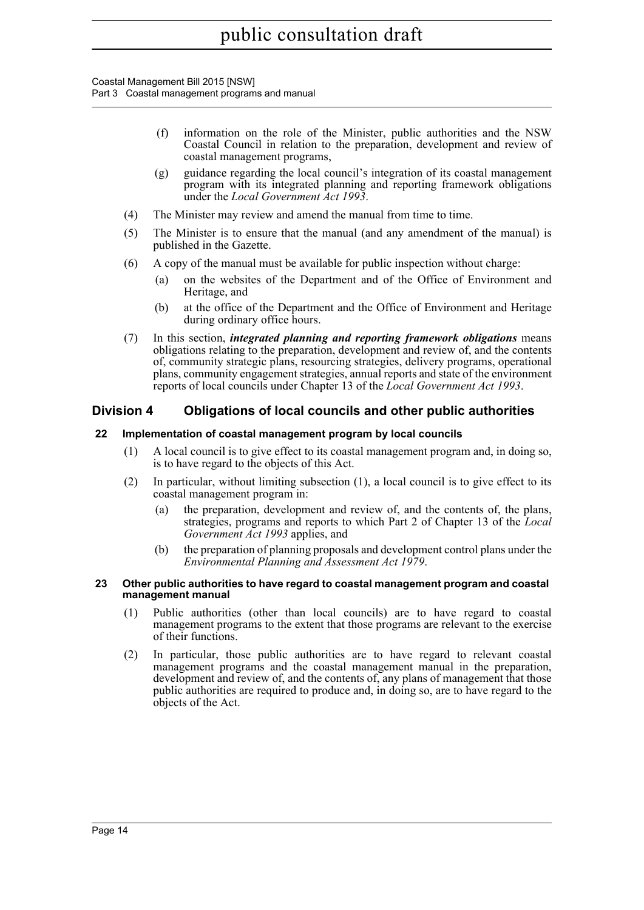Coastal Management Bill 2015 [NSW] Part 3 Coastal management programs and manual

- (f) information on the role of the Minister, public authorities and the NSW Coastal Council in relation to the preparation, development and review of coastal management programs,
- (g) guidance regarding the local council's integration of its coastal management program with its integrated planning and reporting framework obligations under the *Local Government Act 1993*.
- (4) The Minister may review and amend the manual from time to time.
- (5) The Minister is to ensure that the manual (and any amendment of the manual) is published in the Gazette.
- (6) A copy of the manual must be available for public inspection without charge:
	- (a) on the websites of the Department and of the Office of Environment and Heritage, and
	- (b) at the office of the Department and the Office of Environment and Heritage during ordinary office hours.
- (7) In this section, *integrated planning and reporting framework obligations* means obligations relating to the preparation, development and review of, and the contents of, community strategic plans, resourcing strategies, delivery programs, operational plans, community engagement strategies, annual reports and state of the environment reports of local councils under Chapter 13 of the *Local Government Act 1993*.

## <span id="page-19-0"></span>**Division 4 Obligations of local councils and other public authorities**

#### <span id="page-19-1"></span>**22 Implementation of coastal management program by local councils**

- (1) A local council is to give effect to its coastal management program and, in doing so, is to have regard to the objects of this Act.
- (2) In particular, without limiting subsection (1), a local council is to give effect to its coastal management program in:
	- (a) the preparation, development and review of, and the contents of, the plans, strategies, programs and reports to which Part 2 of Chapter 13 of the *Local Government Act 1993* applies, and
	- (b) the preparation of planning proposals and development control plans under the *Environmental Planning and Assessment Act 1979*.

#### <span id="page-19-2"></span>**23 Other public authorities to have regard to coastal management program and coastal management manual**

- (1) Public authorities (other than local councils) are to have regard to coastal management programs to the extent that those programs are relevant to the exercise of their functions.
- (2) In particular, those public authorities are to have regard to relevant coastal management programs and the coastal management manual in the preparation, development and review of, and the contents of, any plans of management that those public authorities are required to produce and, in doing so, are to have regard to the objects of the Act.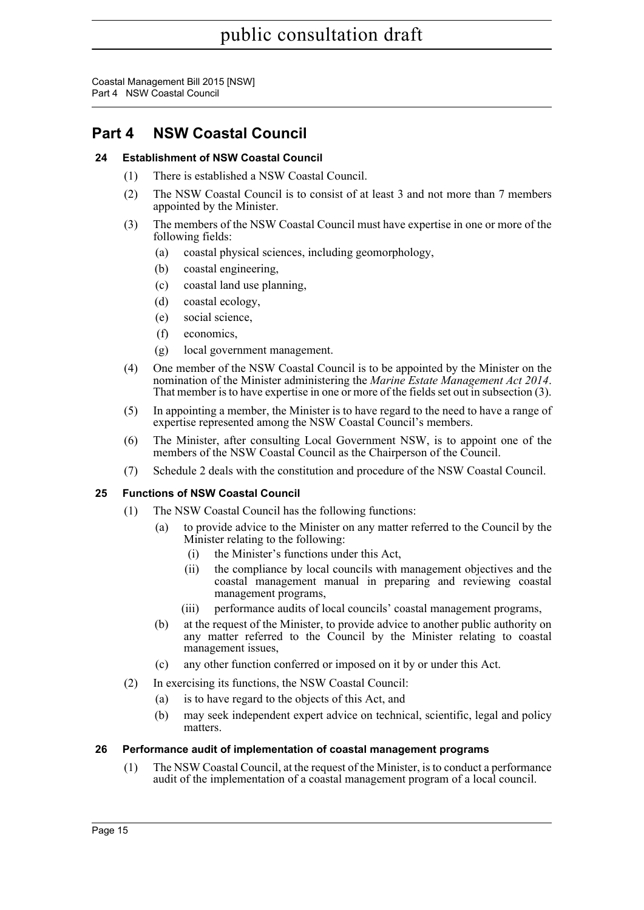Coastal Management Bill 2015 [NSW] Part 4 NSW Coastal Council

# <span id="page-20-0"></span>**Part 4 NSW Coastal Council**

## <span id="page-20-1"></span>**24 Establishment of NSW Coastal Council**

- (1) There is established a NSW Coastal Council.
- (2) The NSW Coastal Council is to consist of at least 3 and not more than 7 members appointed by the Minister.
- (3) The members of the NSW Coastal Council must have expertise in one or more of the following fields:
	- (a) coastal physical sciences, including geomorphology,
	- (b) coastal engineering,
	- (c) coastal land use planning,
	- (d) coastal ecology,
	- (e) social science,
	- (f) economics,
	- (g) local government management.
- (4) One member of the NSW Coastal Council is to be appointed by the Minister on the nomination of the Minister administering the *Marine Estate Management Act 2014*. That member is to have expertise in one or more of the fields set out in subsection (3).
- (5) In appointing a member, the Minister is to have regard to the need to have a range of expertise represented among the NSW Coastal Council's members.
- (6) The Minister, after consulting Local Government NSW, is to appoint one of the members of the NSW Coastal Council as the Chairperson of the Council.
- (7) Schedule 2 deals with the constitution and procedure of the NSW Coastal Council.

### <span id="page-20-2"></span>**25 Functions of NSW Coastal Council**

- (1) The NSW Coastal Council has the following functions:
	- (a) to provide advice to the Minister on any matter referred to the Council by the Minister relating to the following:
		- (i) the Minister's functions under this Act,
		- (ii) the compliance by local councils with management objectives and the coastal management manual in preparing and reviewing coastal management programs,
		- (iii) performance audits of local councils' coastal management programs,
	- (b) at the request of the Minister, to provide advice to another public authority on any matter referred to the Council by the Minister relating to coastal management issues,
	- (c) any other function conferred or imposed on it by or under this Act.
- (2) In exercising its functions, the NSW Coastal Council:
	- (a) is to have regard to the objects of this Act, and
	- (b) may seek independent expert advice on technical, scientific, legal and policy matters.

### <span id="page-20-3"></span>**26 Performance audit of implementation of coastal management programs**

(1) The NSW Coastal Council, at the request of the Minister, is to conduct a performance audit of the implementation of a coastal management program of a local council.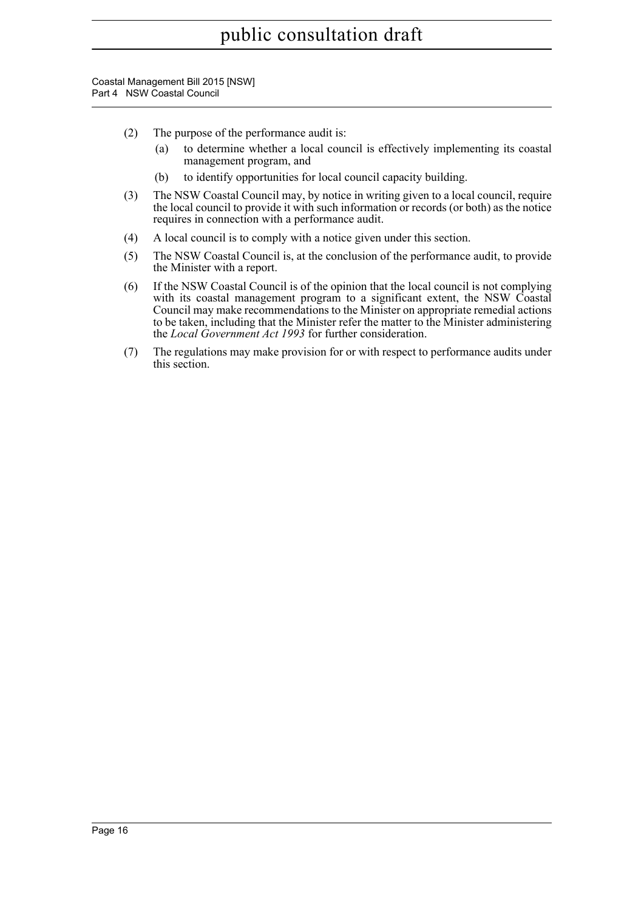Coastal Management Bill 2015 [NSW] Part 4 NSW Coastal Council

- (2) The purpose of the performance audit is:
	- (a) to determine whether a local council is effectively implementing its coastal management program, and
	- (b) to identify opportunities for local council capacity building.
- (3) The NSW Coastal Council may, by notice in writing given to a local council, require the local council to provide it with such information or records (or both) as the notice requires in connection with a performance audit.
- (4) A local council is to comply with a notice given under this section.
- (5) The NSW Coastal Council is, at the conclusion of the performance audit, to provide the Minister with a report.
- (6) If the NSW Coastal Council is of the opinion that the local council is not complying with its coastal management program to a significant extent, the NSW Coastal Council may make recommendations to the Minister on appropriate remedial actions to be taken, including that the Minister refer the matter to the Minister administering the *Local Government Act 1993* for further consideration.
- (7) The regulations may make provision for or with respect to performance audits under this section.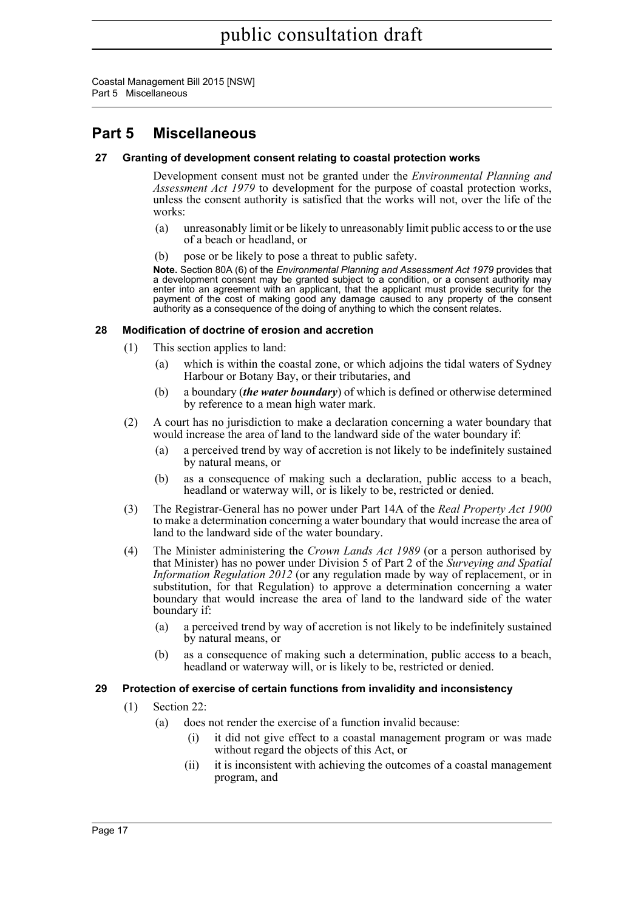Coastal Management Bill 2015 [NSW] Part 5 Miscellaneous

# <span id="page-22-0"></span>**Part 5 Miscellaneous**

### <span id="page-22-1"></span>**27 Granting of development consent relating to coastal protection works**

Development consent must not be granted under the *Environmental Planning and Assessment Act 1979* to development for the purpose of coastal protection works, unless the consent authority is satisfied that the works will not, over the life of the works:

- (a) unreasonably limit or be likely to unreasonably limit public access to or the use of a beach or headland, or
- (b) pose or be likely to pose a threat to public safety.

**Note.** Section 80A (6) of the *Environmental Planning and Assessment Act 1979* provides that a development consent may be granted subject to a condition, or a consent authority may enter into an agreement with an applicant, that the applicant must provide security for the payment of the cost of making good any damage caused to any property of the consent authority as a consequence of the doing of anything to which the consent relates.

### <span id="page-22-2"></span>**28 Modification of doctrine of erosion and accretion**

- (1) This section applies to land:
	- (a) which is within the coastal zone, or which adjoins the tidal waters of Sydney Harbour or Botany Bay, or their tributaries, and
	- (b) a boundary (*the water boundary*) of which is defined or otherwise determined by reference to a mean high water mark.
- (2) A court has no jurisdiction to make a declaration concerning a water boundary that would increase the area of land to the landward side of the water boundary if:
	- (a) a perceived trend by way of accretion is not likely to be indefinitely sustained by natural means, or
	- (b) as a consequence of making such a declaration, public access to a beach, headland or waterway will, or is likely to be, restricted or denied.
- (3) The Registrar-General has no power under Part 14A of the *Real Property Act 1900* to make a determination concerning a water boundary that would increase the area of land to the landward side of the water boundary.
- (4) The Minister administering the *Crown Lands Act 1989* (or a person authorised by that Minister) has no power under Division 5 of Part 2 of the *Surveying and Spatial Information Regulation 2012* (or any regulation made by way of replacement, or in substitution, for that Regulation) to approve a determination concerning a water boundary that would increase the area of land to the landward side of the water boundary if:
	- (a) a perceived trend by way of accretion is not likely to be indefinitely sustained by natural means, or
	- (b) as a consequence of making such a determination, public access to a beach, headland or waterway will, or is likely to be, restricted or denied.

### <span id="page-22-3"></span>**29 Protection of exercise of certain functions from invalidity and inconsistency**

- (1) Section 22:
	- (a) does not render the exercise of a function invalid because:
		- (i) it did not give effect to a coastal management program or was made without regard the objects of this Act, or
		- (ii) it is inconsistent with achieving the outcomes of a coastal management program, and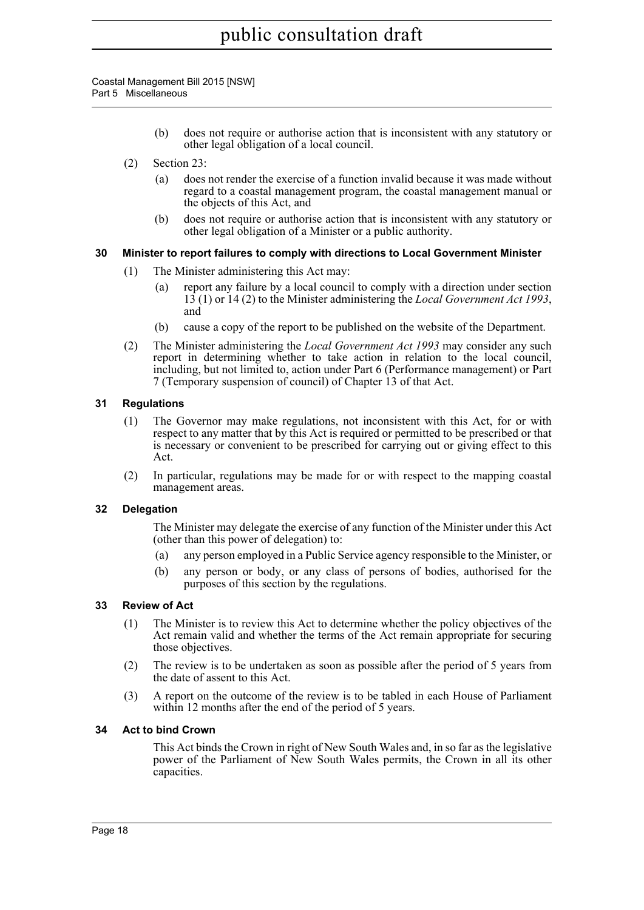Coastal Management Bill 2015 [NSW] Part 5 Miscellaneous

- (b) does not require or authorise action that is inconsistent with any statutory or other legal obligation of a local council.
- (2) Section 23:
	- (a) does not render the exercise of a function invalid because it was made without regard to a coastal management program, the coastal management manual or the objects of this Act, and
	- (b) does not require or authorise action that is inconsistent with any statutory or other legal obligation of a Minister or a public authority.

### <span id="page-23-0"></span>**30 Minister to report failures to comply with directions to Local Government Minister**

- (1) The Minister administering this Act may:
	- (a) report any failure by a local council to comply with a direction under section 13 (1) or 14 (2) to the Minister administering the *Local Government Act 1993*, and
	- (b) cause a copy of the report to be published on the website of the Department.
- (2) The Minister administering the *Local Government Act 1993* may consider any such report in determining whether to take action in relation to the local council, including, but not limited to, action under Part 6 (Performance management) or Part 7 (Temporary suspension of council) of Chapter 13 of that Act.

### <span id="page-23-1"></span>**31 Regulations**

- (1) The Governor may make regulations, not inconsistent with this Act, for or with respect to any matter that by this Act is required or permitted to be prescribed or that is necessary or convenient to be prescribed for carrying out or giving effect to this Act.
- (2) In particular, regulations may be made for or with respect to the mapping coastal management areas.

### <span id="page-23-2"></span>**32 Delegation**

The Minister may delegate the exercise of any function of the Minister under this Act (other than this power of delegation) to:

- (a) any person employed in a Public Service agency responsible to the Minister, or
- (b) any person or body, or any class of persons of bodies, authorised for the purposes of this section by the regulations.

### <span id="page-23-3"></span>**33 Review of Act**

- (1) The Minister is to review this Act to determine whether the policy objectives of the Act remain valid and whether the terms of the Act remain appropriate for securing those objectives.
- (2) The review is to be undertaken as soon as possible after the period of 5 years from the date of assent to this Act.
- (3) A report on the outcome of the review is to be tabled in each House of Parliament within 12 months after the end of the period of 5 years.

### <span id="page-23-4"></span>**34 Act to bind Crown**

This Act binds the Crown in right of New South Wales and, in so far as the legislative power of the Parliament of New South Wales permits, the Crown in all its other capacities.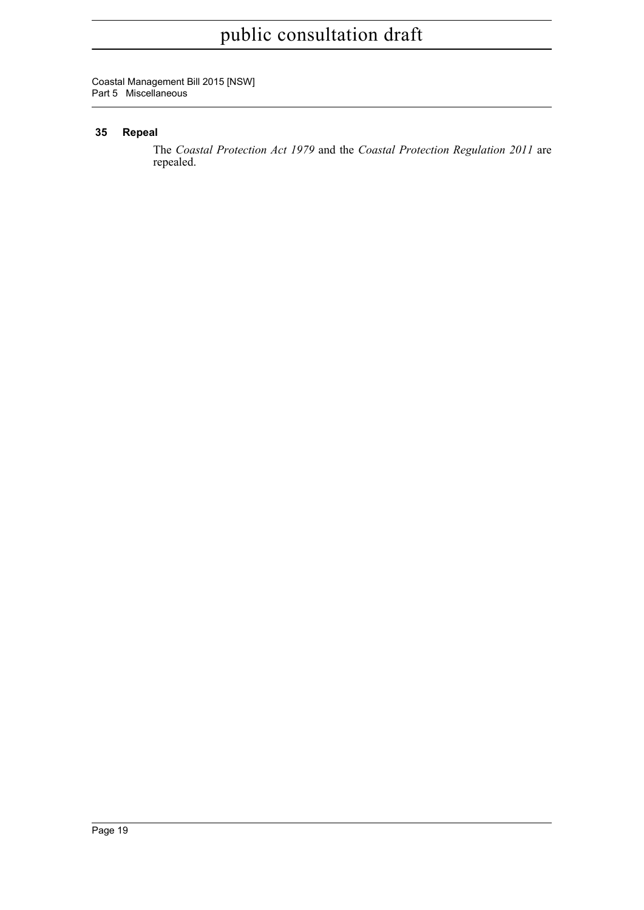Coastal Management Bill 2015 [NSW] Part 5 Miscellaneous

## <span id="page-24-0"></span>**35 Repeal**

The *Coastal Protection Act 1979* and the *Coastal Protection Regulation 2011* are repealed.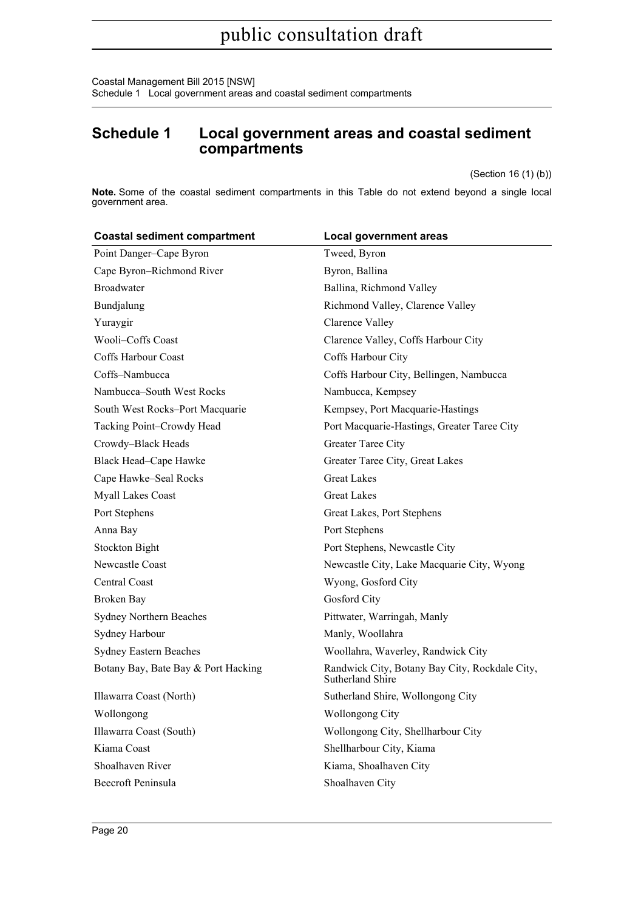Coastal Management Bill 2015 [NSW] Schedule 1 Local government areas and coastal sediment compartments

## <span id="page-25-0"></span>**Schedule 1 Local government areas and coastal sediment compartments**

(Section 16 (1) (b))

**Note.** Some of the coastal sediment compartments in this Table do not extend beyond a single local government area.

| <b>Coastal sediment compartment</b> | <b>Local government areas</b>                                      |
|-------------------------------------|--------------------------------------------------------------------|
| Point Danger-Cape Byron             | Tweed, Byron                                                       |
| Cape Byron-Richmond River           | Byron, Ballina                                                     |
| <b>Broadwater</b>                   | Ballina, Richmond Valley                                           |
| Bundjalung                          | Richmond Valley, Clarence Valley                                   |
| Yuraygir                            | Clarence Valley                                                    |
| Wooli-Coffs Coast                   | Clarence Valley, Coffs Harbour City                                |
| Coffs Harbour Coast                 | Coffs Harbour City                                                 |
| Coffs-Nambucca                      | Coffs Harbour City, Bellingen, Nambucca                            |
| Nambucca-South West Rocks           | Nambucca, Kempsey                                                  |
| South West Rocks-Port Macquarie     | Kempsey, Port Macquarie-Hastings                                   |
| Tacking Point-Crowdy Head           | Port Macquarie-Hastings, Greater Taree City                        |
| Crowdy-Black Heads                  | Greater Taree City                                                 |
| Black Head-Cape Hawke               | Greater Taree City, Great Lakes                                    |
| Cape Hawke-Seal Rocks               | <b>Great Lakes</b>                                                 |
| <b>Myall Lakes Coast</b>            | <b>Great Lakes</b>                                                 |
| Port Stephens                       | Great Lakes, Port Stephens                                         |
| Anna Bay                            | Port Stephens                                                      |
| <b>Stockton Bight</b>               | Port Stephens, Newcastle City                                      |
| Newcastle Coast                     | Newcastle City, Lake Macquarie City, Wyong                         |
| Central Coast                       | Wyong, Gosford City                                                |
| Broken Bay                          | Gosford City                                                       |
| Sydney Northern Beaches             | Pittwater, Warringah, Manly                                        |
| Sydney Harbour                      | Manly, Woollahra                                                   |
| <b>Sydney Eastern Beaches</b>       | Woollahra, Waverley, Randwick City                                 |
| Botany Bay, Bate Bay & Port Hacking | Randwick City, Botany Bay City, Rockdale City,<br>Sutherland Shire |
| Illawarra Coast (North)             | Sutherland Shire, Wollongong City                                  |
| Wollongong                          | <b>Wollongong City</b>                                             |
| Illawarra Coast (South)             | Wollongong City, Shellharbour City                                 |
| Kiama Coast                         | Shellharbour City, Kiama                                           |
| Shoalhaven River                    | Kiama, Shoalhaven City                                             |
| Beecroft Peninsula                  | Shoalhaven City                                                    |
|                                     |                                                                    |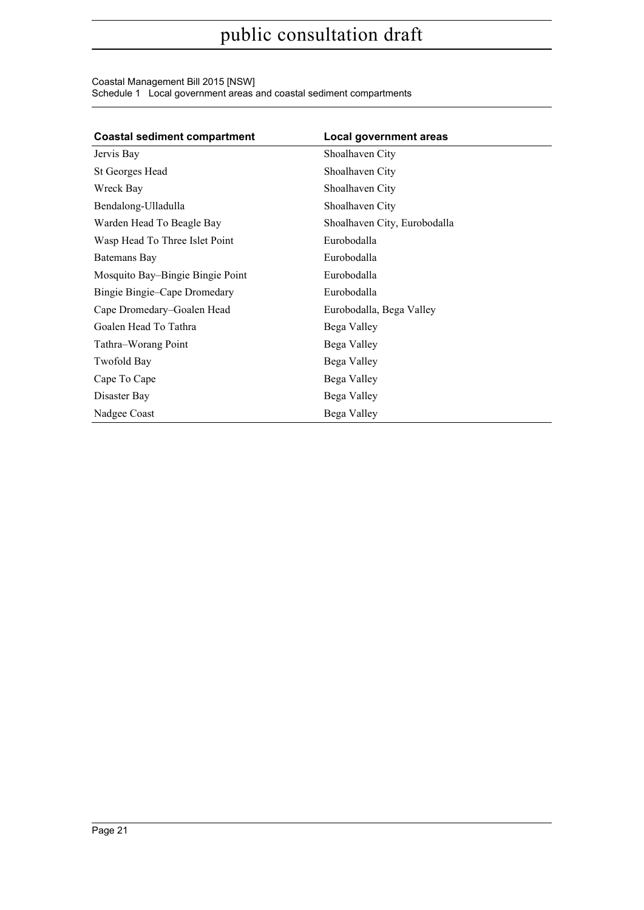#### Coastal Management Bill 2015 [NSW] Schedule 1 Local government areas and coastal sediment compartments

| <b>Coastal sediment compartment</b> | <b>Local government areas</b> |
|-------------------------------------|-------------------------------|
| Jervis Bay                          | Shoalhaven City               |
| St Georges Head                     | Shoalhaven City               |
| Wreck Bay                           | Shoalhaven City               |
| Bendalong-Ulladulla                 | Shoalhaven City               |
| Warden Head To Beagle Bay           | Shoalhaven City, Eurobodalla  |
| Wasp Head To Three Islet Point      | Eurobodalla                   |
| Batemans Bay                        | Eurobodalla                   |
| Mosquito Bay–Bingie Bingie Point    | Eurobodalla                   |
| Bingie Bingie–Cape Dromedary        | Eurobodalla                   |
| Cape Dromedary-Goalen Head          | Eurobodalla, Bega Valley      |
| Goalen Head To Tathra               | Bega Valley                   |
| Tathra–Worang Point                 | Bega Valley                   |
| <b>Twofold Bay</b>                  | Bega Valley                   |
| Cape To Cape                        | Bega Valley                   |
| Disaster Bay                        | Bega Valley                   |
| Nadgee Coast                        | Bega Valley                   |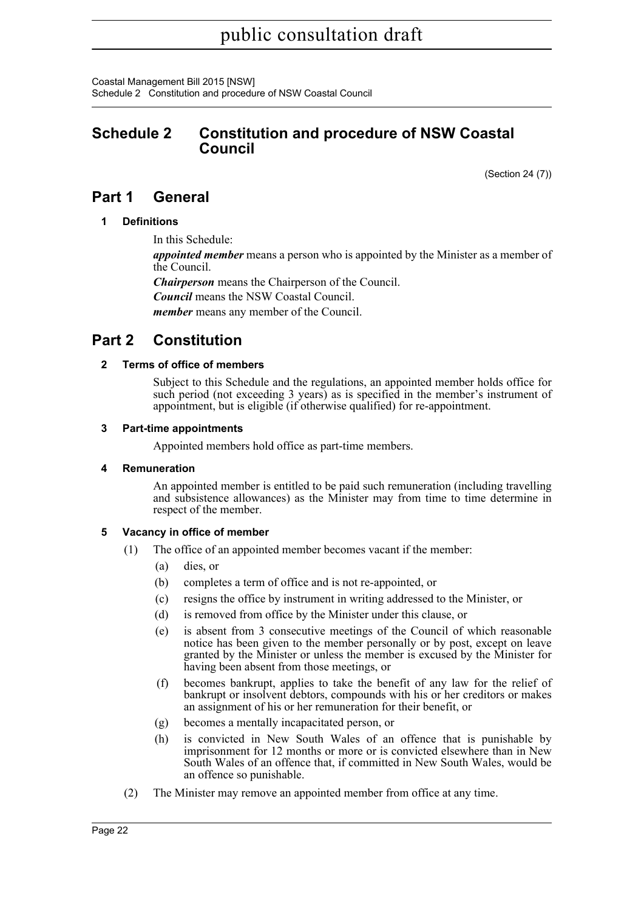Coastal Management Bill 2015 [NSW] Schedule 2 Constitution and procedure of NSW Coastal Council

## <span id="page-27-0"></span>**Schedule 2 Constitution and procedure of NSW Coastal Council**

(Section 24 (7))

## **Part 1 General**

### **1 Definitions**

In this Schedule:

*appointed member* means a person who is appointed by the Minister as a member of the Council.

*Chairperson* means the Chairperson of the Council.

*Council* means the NSW Coastal Council.

*member* means any member of the Council.

# **Part 2 Constitution**

### **2 Terms of office of members**

Subject to this Schedule and the regulations, an appointed member holds office for such period (not exceeding 3 years) as is specified in the member's instrument of appointment, but is eligible (if otherwise qualified) for re-appointment.

### **3 Part-time appointments**

Appointed members hold office as part-time members.

### **4 Remuneration**

An appointed member is entitled to be paid such remuneration (including travelling and subsistence allowances) as the Minister may from time to time determine in respect of the member.

### **5 Vacancy in office of member**

- (1) The office of an appointed member becomes vacant if the member:
	- (a) dies, or
	- (b) completes a term of office and is not re-appointed, or
	- (c) resigns the office by instrument in writing addressed to the Minister, or
	- (d) is removed from office by the Minister under this clause, or
	- (e) is absent from 3 consecutive meetings of the Council of which reasonable notice has been given to the member personally or by post, except on leave granted by the Minister or unless the member is excused by the Minister for having been absent from those meetings, or
	- (f) becomes bankrupt, applies to take the benefit of any law for the relief of bankrupt or insolvent debtors, compounds with his or her creditors or makes an assignment of his or her remuneration for their benefit, or
	- (g) becomes a mentally incapacitated person, or
	- (h) is convicted in New South Wales of an offence that is punishable by imprisonment for 12 months or more or is convicted elsewhere than in New South Wales of an offence that, if committed in New South Wales, would be an offence so punishable.
- (2) The Minister may remove an appointed member from office at any time.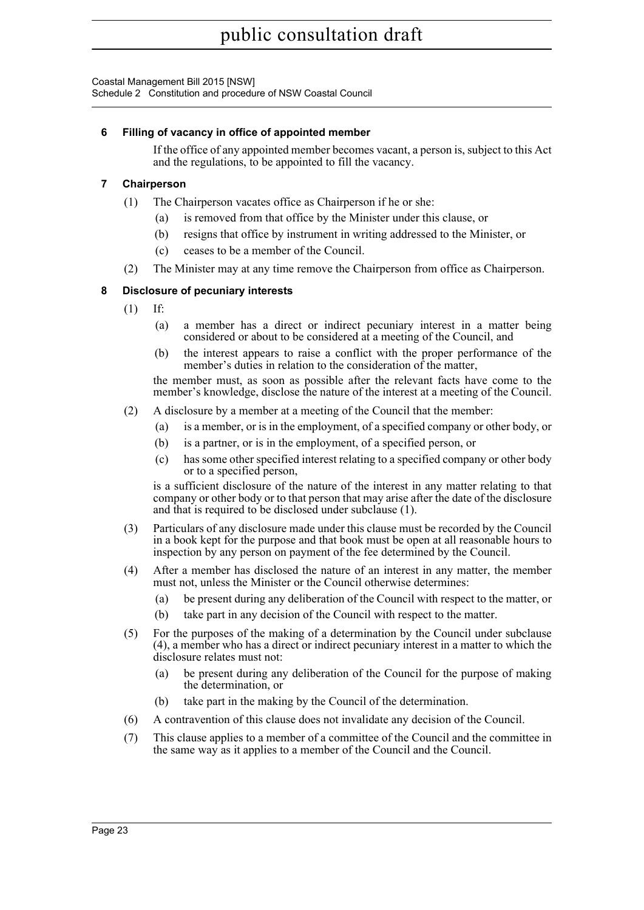Coastal Management Bill 2015 [NSW] Schedule 2 Constitution and procedure of NSW Coastal Council

### **6 Filling of vacancy in office of appointed member**

If the office of any appointed member becomes vacant, a person is, subject to this Act and the regulations, to be appointed to fill the vacancy.

### **7 Chairperson**

- (1) The Chairperson vacates office as Chairperson if he or she:
	- (a) is removed from that office by the Minister under this clause, or
	- (b) resigns that office by instrument in writing addressed to the Minister, or
	- (c) ceases to be a member of the Council.
- (2) The Minister may at any time remove the Chairperson from office as Chairperson.

### **8 Disclosure of pecuniary interests**

- (1) If:
	- (a) a member has a direct or indirect pecuniary interest in a matter being considered or about to be considered at a meeting of the Council, and
	- (b) the interest appears to raise a conflict with the proper performance of the member's duties in relation to the consideration of the matter.

the member must, as soon as possible after the relevant facts have come to the member's knowledge, disclose the nature of the interest at a meeting of the Council.

- (2) A disclosure by a member at a meeting of the Council that the member:
	- (a) is a member, or is in the employment, of a specified company or other body, or
	- (b) is a partner, or is in the employment, of a specified person, or
	- (c) has some other specified interest relating to a specified company or other body or to a specified person,

is a sufficient disclosure of the nature of the interest in any matter relating to that company or other body or to that person that may arise after the date of the disclosure and that is required to be disclosed under subclause (1).

- (3) Particulars of any disclosure made under this clause must be recorded by the Council in a book kept for the purpose and that book must be open at all reasonable hours to inspection by any person on payment of the fee determined by the Council.
- (4) After a member has disclosed the nature of an interest in any matter, the member must not, unless the Minister or the Council otherwise determines:
	- (a) be present during any deliberation of the Council with respect to the matter, or
	- (b) take part in any decision of the Council with respect to the matter.
- (5) For the purposes of the making of a determination by the Council under subclause (4), a member who has a direct or indirect pecuniary interest in a matter to which the disclosure relates must not:
	- (a) be present during any deliberation of the Council for the purpose of making the determination, or
	- (b) take part in the making by the Council of the determination.
- (6) A contravention of this clause does not invalidate any decision of the Council.
- (7) This clause applies to a member of a committee of the Council and the committee in the same way as it applies to a member of the Council and the Council.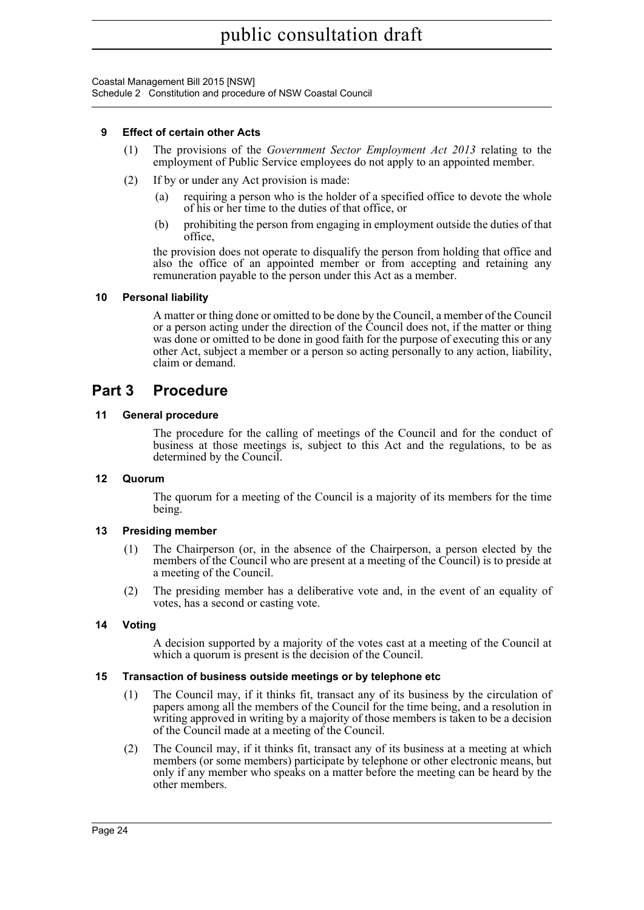Coastal Management Bill 2015 [NSW] Schedule 2 Constitution and procedure of NSW Coastal Council

### **9 Effect of certain other Acts**

- (1) The provisions of the *Government Sector Employment Act 2013* relating to the employment of Public Service employees do not apply to an appointed member.
- (2) If by or under any Act provision is made:
	- (a) requiring a person who is the holder of a specified office to devote the whole of his or her time to the duties of that office, or
	- (b) prohibiting the person from engaging in employment outside the duties of that office,

the provision does not operate to disqualify the person from holding that office and also the office of an appointed member or from accepting and retaining any remuneration payable to the person under this Act as a member.

### **10 Personal liability**

A matter or thing done or omitted to be done by the Council, a member of the Council or a person acting under the direction of the Council does not, if the matter or thing was done or omitted to be done in good faith for the purpose of executing this or any other Act, subject a member or a person so acting personally to any action, liability, claim or demand.

## **Part 3 Procedure**

### **11 General procedure**

The procedure for the calling of meetings of the Council and for the conduct of business at those meetings is, subject to this Act and the regulations, to be as determined by the Council.

### **12 Quorum**

The quorum for a meeting of the Council is a majority of its members for the time being.

### **13 Presiding member**

- (1) The Chairperson (or, in the absence of the Chairperson, a person elected by the members of the Council who are present at a meeting of the Council) is to preside at a meeting of the Council.
- (2) The presiding member has a deliberative vote and, in the event of an equality of votes, has a second or casting vote.

### **14 Voting**

A decision supported by a majority of the votes cast at a meeting of the Council at which a quorum is present is the decision of the Council.

### **15 Transaction of business outside meetings or by telephone etc**

- (1) The Council may, if it thinks fit, transact any of its business by the circulation of papers among all the members of the Council for the time being, and a resolution in writing approved in writing by a majority of those members is taken to be a decision of the Council made at a meeting of the Council.
- (2) The Council may, if it thinks fit, transact any of its business at a meeting at which members (or some members) participate by telephone or other electronic means, but only if any member who speaks on a matter before the meeting can be heard by the other members.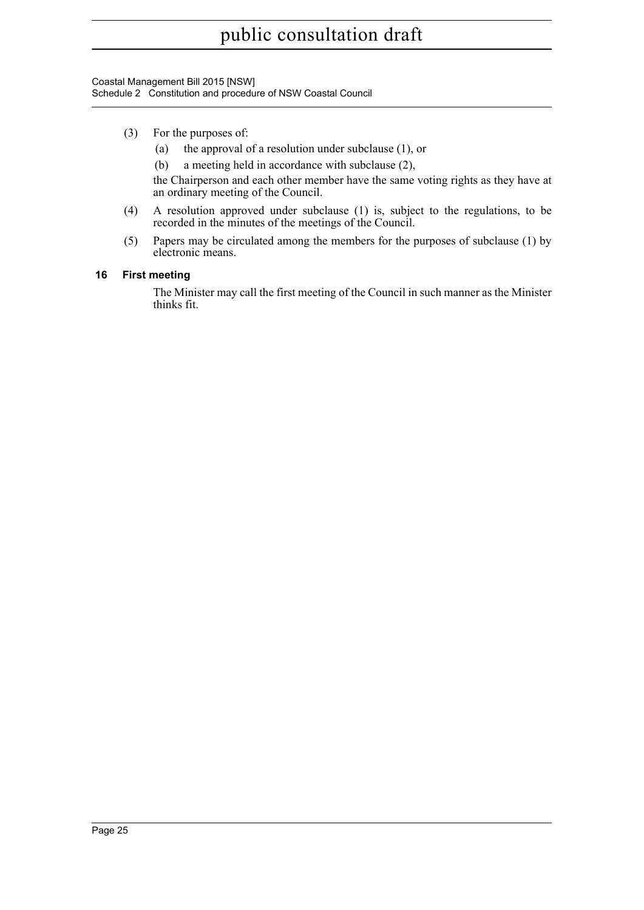Coastal Management Bill 2015 [NSW] Schedule 2 Constitution and procedure of NSW Coastal Council

- (3) For the purposes of:
	- (a) the approval of a resolution under subclause (1), or
	- (b) a meeting held in accordance with subclause (2),

the Chairperson and each other member have the same voting rights as they have at an ordinary meeting of the Council.

- (4) A resolution approved under subclause (1) is, subject to the regulations, to be recorded in the minutes of the meetings of the Council.
- (5) Papers may be circulated among the members for the purposes of subclause (1) by electronic means.

### **16 First meeting**

The Minister may call the first meeting of the Council in such manner as the Minister thinks fit.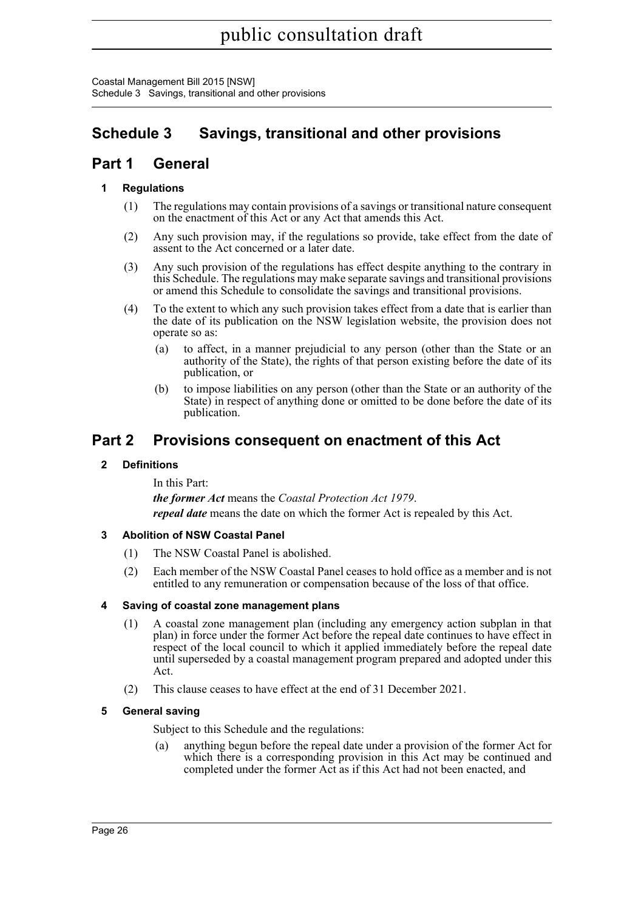Coastal Management Bill 2015 [NSW] Schedule 3 Savings, transitional and other provisions

# <span id="page-31-0"></span>**Schedule 3 Savings, transitional and other provisions**

## **Part 1 General**

## **1 Regulations**

- (1) The regulations may contain provisions of a savings or transitional nature consequent on the enactment of this Act or any Act that amends this Act.
- (2) Any such provision may, if the regulations so provide, take effect from the date of assent to the Act concerned or a later date.
- (3) Any such provision of the regulations has effect despite anything to the contrary in this Schedule. The regulations may make separate savings and transitional provisions or amend this Schedule to consolidate the savings and transitional provisions.
- (4) To the extent to which any such provision takes effect from a date that is earlier than the date of its publication on the NSW legislation website, the provision does not operate so as:
	- (a) to affect, in a manner prejudicial to any person (other than the State or an authority of the State), the rights of that person existing before the date of its publication, or
	- (b) to impose liabilities on any person (other than the State or an authority of the State) in respect of anything done or omitted to be done before the date of its publication.

## **Part 2 Provisions consequent on enactment of this Act**

### **2 Definitions**

In this Part: *the former Act* means the *Coastal Protection Act 1979*. *repeal date* means the date on which the former Act is repealed by this Act.

### **3 Abolition of NSW Coastal Panel**

- (1) The NSW Coastal Panel is abolished.
- (2) Each member of the NSW Coastal Panel ceases to hold office as a member and is not entitled to any remuneration or compensation because of the loss of that office.

### **4 Saving of coastal zone management plans**

- (1) A coastal zone management plan (including any emergency action subplan in that plan) in force under the former Act before the repeal date continues to have effect in respect of the local council to which it applied immediately before the repeal date until superseded by a coastal management program prepared and adopted under this Act.
- (2) This clause ceases to have effect at the end of 31 December 2021.

### **5 General saving**

Subject to this Schedule and the regulations:

(a) anything begun before the repeal date under a provision of the former Act for which there is a corresponding provision in this Act may be continued and completed under the former Act as if this Act had not been enacted, and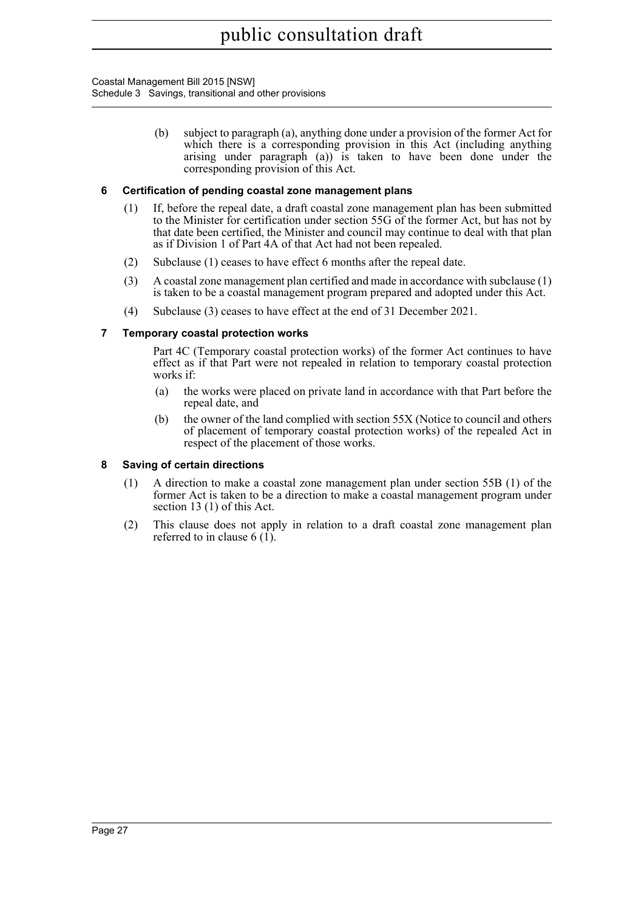Coastal Management Bill 2015 [NSW] Schedule 3 Savings, transitional and other provisions

> (b) subject to paragraph (a), anything done under a provision of the former Act for which there is a corresponding provision in this Act (including anything arising under paragraph (a)) is taken to have been done under the corresponding provision of this Act.

### **6 Certification of pending coastal zone management plans**

- (1) If, before the repeal date, a draft coastal zone management plan has been submitted to the Minister for certification under section 55G of the former Act, but has not by that date been certified, the Minister and council may continue to deal with that plan as if Division 1 of Part 4A of that Act had not been repealed.
- (2) Subclause (1) ceases to have effect 6 months after the repeal date.
- (3) A coastal zone management plan certified and made in accordance with subclause (1) is taken to be a coastal management program prepared and adopted under this Act.
- (4) Subclause (3) ceases to have effect at the end of 31 December 2021.

### **7 Temporary coastal protection works**

Part 4C (Temporary coastal protection works) of the former Act continues to have effect as if that Part were not repealed in relation to temporary coastal protection works if:

- (a) the works were placed on private land in accordance with that Part before the repeal date, and
- (b) the owner of the land complied with section 55X (Notice to council and others of placement of temporary coastal protection works) of the repealed Act in respect of the placement of those works.

### **8 Saving of certain directions**

- (1) A direction to make a coastal zone management plan under section 55B (1) of the former Act is taken to be a direction to make a coastal management program under section 13 (1) of this Act.
- (2) This clause does not apply in relation to a draft coastal zone management plan referred to in clause 6 (1).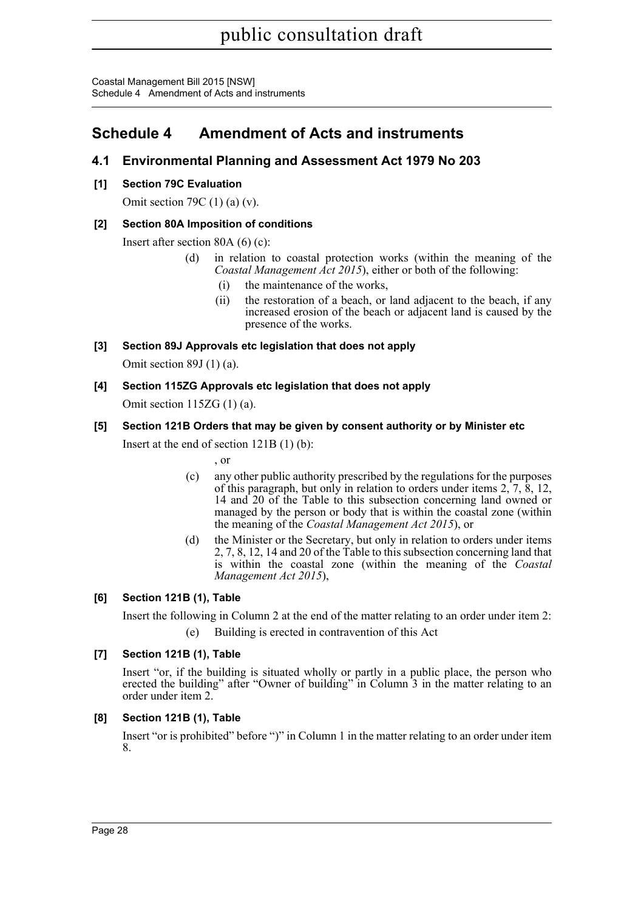Coastal Management Bill 2015 [NSW] Schedule 4 Amendment of Acts and instruments

# <span id="page-33-0"></span>**Schedule 4 Amendment of Acts and instruments**

## **4.1 Environmental Planning and Assessment Act 1979 No 203**

**[1] Section 79C Evaluation**

Omit section 79C (1) (a) (v).

## **[2] Section 80A Imposition of conditions**

Insert after section 80A (6) (c):

- (d) in relation to coastal protection works (within the meaning of the *Coastal Management Act 2015*), either or both of the following:
	- (i) the maintenance of the works,
	- (ii) the restoration of a beach, or land adjacent to the beach, if any increased erosion of the beach or adjacent land is caused by the presence of the works.
- **[3] Section 89J Approvals etc legislation that does not apply**

Omit section 89J (1) (a).

**[4] Section 115ZG Approvals etc legislation that does not apply** Omit section 115ZG (1) (a).

## **[5] Section 121B Orders that may be given by consent authority or by Minister etc**

Insert at the end of section 121B (1) (b):

, or

- (c) any other public authority prescribed by the regulations for the purposes of this paragraph, but only in relation to orders under items 2, 7, 8, 12, 14 and 20 of the Table to this subsection concerning land owned or managed by the person or body that is within the coastal zone (within the meaning of the *Coastal Management Act 2015*), or
- (d) the Minister or the Secretary, but only in relation to orders under items 2, 7, 8, 12, 14 and 20 of the Table to this subsection concerning land that is within the coastal zone (within the meaning of the *Coastal Management Act 2015*),

## **[6] Section 121B (1), Table**

Insert the following in Column 2 at the end of the matter relating to an order under item 2:

(e) Building is erected in contravention of this Act

## **[7] Section 121B (1), Table**

Insert "or, if the building is situated wholly or partly in a public place, the person who erected the building" after "Owner of building" in Column 3 in the matter relating to an order under item 2.

### **[8] Section 121B (1), Table**

Insert "or is prohibited" before ")" in Column 1 in the matter relating to an order under item 8.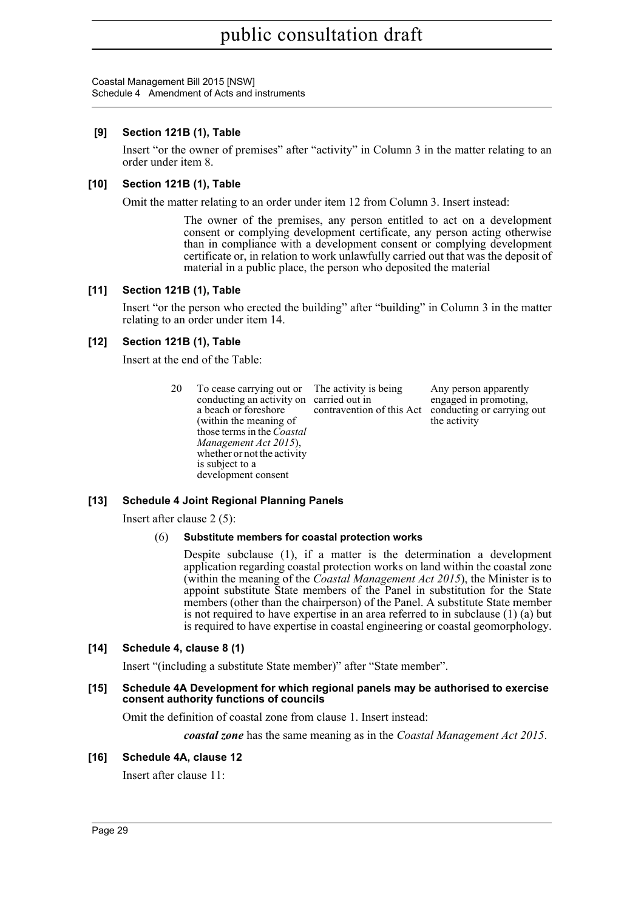Coastal Management Bill 2015 [NSW] Schedule 4 Amendment of Acts and instruments

### **[9] Section 121B (1), Table**

Insert "or the owner of premises" after "activity" in Column 3 in the matter relating to an order under item 8.

### **[10] Section 121B (1), Table**

Omit the matter relating to an order under item 12 from Column 3. Insert instead:

The owner of the premises, any person entitled to act on a development consent or complying development certificate, any person acting otherwise than in compliance with a development consent or complying development certificate or, in relation to work unlawfully carried out that was the deposit of material in a public place, the person who deposited the material

### **[11] Section 121B (1), Table**

Insert "or the person who erected the building" after "building" in Column 3 in the matter relating to an order under item 14.

### **[12] Section 121B (1), Table**

Insert at the end of the Table:

20 To cease carrying out or conducting an activity on carried out in a beach or foreshore (within the meaning of those terms in the *Coastal Management Act 2015*), whether or not the activity is subject to a development consent The activity is being contravention of this Act Any person apparently engaged in promoting, conducting or carrying out the activity

### **[13] Schedule 4 Joint Regional Planning Panels**

Insert after clause 2 (5):

### (6) **Substitute members for coastal protection works**

Despite subclause (1), if a matter is the determination a development application regarding coastal protection works on land within the coastal zone (within the meaning of the *Coastal Management Act 2015*), the Minister is to appoint substitute State members of the Panel in substitution for the State members (other than the chairperson) of the Panel. A substitute State member is not required to have expertise in an area referred to in subclause (1) (a) but is required to have expertise in coastal engineering or coastal geomorphology.

### **[14] Schedule 4, clause 8 (1)**

Insert "(including a substitute State member)" after "State member".

#### **[15] Schedule 4A Development for which regional panels may be authorised to exercise consent authority functions of councils**

Omit the definition of coastal zone from clause 1. Insert instead:

*coastal zone* has the same meaning as in the *Coastal Management Act 2015*.

### **[16] Schedule 4A, clause 12**

Insert after clause 11: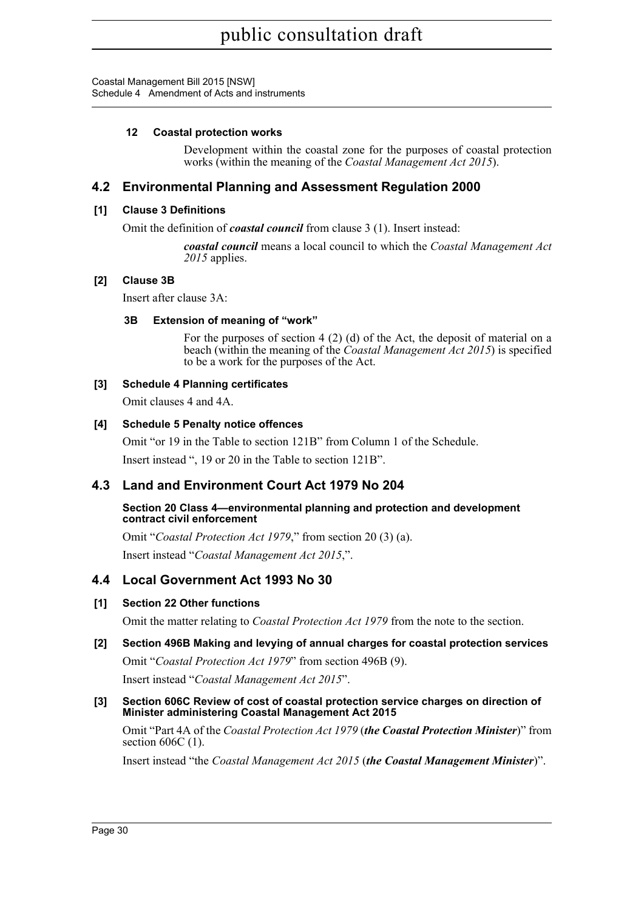Coastal Management Bill 2015 [NSW] Schedule 4 Amendment of Acts and instruments

### **12 Coastal protection works**

Development within the coastal zone for the purposes of coastal protection works (within the meaning of the *Coastal Management Act 2015*).

## **4.2 Environmental Planning and Assessment Regulation 2000**

### **[1] Clause 3 Definitions**

Omit the definition of *coastal council* from clause 3 (1). Insert instead:

*coastal council* means a local council to which the *Coastal Management Act* 2015 applies.

### **[2] Clause 3B**

Insert after clause 3A:

### **3B Extension of meaning of "work"**

For the purposes of section 4 (2) (d) of the Act, the deposit of material on a beach (within the meaning of the *Coastal Management Act 2015*) is specified to be a work for the purposes of the Act.

### **[3] Schedule 4 Planning certificates**

Omit clauses 4 and 4A.

### **[4] Schedule 5 Penalty notice offences**

Omit "or 19 in the Table to section 121B" from Column 1 of the Schedule.

Insert instead ", 19 or 20 in the Table to section 121B".

## **4.3 Land and Environment Court Act 1979 No 204**

### **Section 20 Class 4—environmental planning and protection and development contract civil enforcement**

Omit "*Coastal Protection Act 1979*," from section 20 (3) (a). Insert instead "*Coastal Management Act 2015*,".

## **4.4 Local Government Act 1993 No 30**

### **[1] Section 22 Other functions**

Omit the matter relating to *Coastal Protection Act 1979* from the note to the section.

## **[2] Section 496B Making and levying of annual charges for coastal protection services**

Omit "*Coastal Protection Act 1979*" from section 496B (9).

Insert instead "*Coastal Management Act 2015*".

### **[3] Section 606C Review of cost of coastal protection service charges on direction of Minister administering Coastal Management Act 2015**

Omit "Part 4A of the *Coastal Protection Act 1979* (*the Coastal Protection Minister*)" from section 606C (1).

Insert instead "the *Coastal Management Act 2015* (*the Coastal Management Minister*)".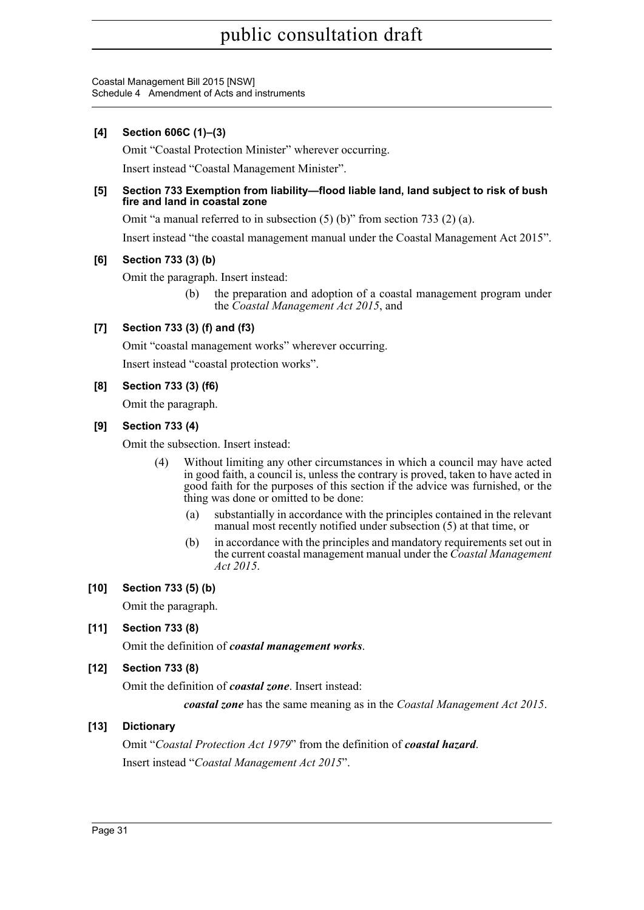Coastal Management Bill 2015 [NSW] Schedule 4 Amendment of Acts and instruments

## **[4] Section 606C (1)–(3)**

Omit "Coastal Protection Minister" wherever occurring.

Insert instead "Coastal Management Minister".

### **[5] Section 733 Exemption from liability—flood liable land, land subject to risk of bush fire and land in coastal zone**

Omit "a manual referred to in subsection (5) (b)" from section 733 (2) (a).

Insert instead "the coastal management manual under the Coastal Management Act 2015".

### **[6] Section 733 (3) (b)**

Omit the paragraph. Insert instead:

(b) the preparation and adoption of a coastal management program under the *Coastal Management Act 2015*, and

## **[7] Section 733 (3) (f) and (f3)**

Omit "coastal management works" wherever occurring.

Insert instead "coastal protection works".

### **[8] Section 733 (3) (f6)**

Omit the paragraph.

### **[9] Section 733 (4)**

Omit the subsection. Insert instead:

- (4) Without limiting any other circumstances in which a council may have acted in good faith, a council is, unless the contrary is proved, taken to have acted in good faith for the purposes of this section if the advice was furnished, or the thing was done or omitted to be done:
	- (a) substantially in accordance with the principles contained in the relevant manual most recently notified under subsection (5) at that time, or
	- (b) in accordance with the principles and mandatory requirements set out in the current coastal management manual under the *Coastal Management Act 2015*.

### **[10] Section 733 (5) (b)**

Omit the paragraph.

### **[11] Section 733 (8)**

Omit the definition of *coastal management works*.

### **[12] Section 733 (8)**

Omit the definition of *coastal zone*. Insert instead:

*coastal zone* has the same meaning as in the *Coastal Management Act 2015*.

### **[13] Dictionary**

Omit "*Coastal Protection Act 1979*" from the definition of *coastal hazard*. Insert instead "*Coastal Management Act 2015*".